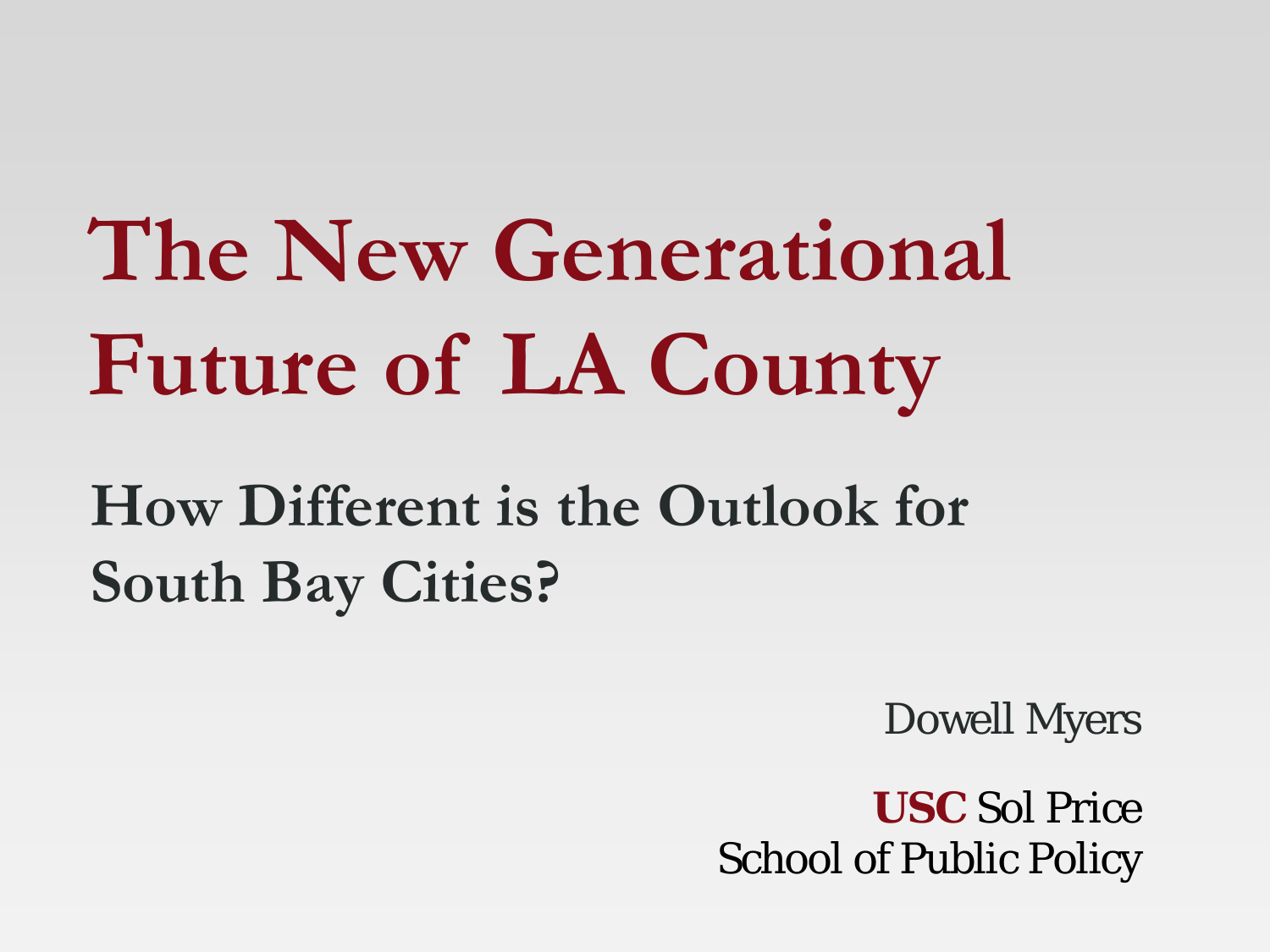**The New Generational Future of LA County**

**How Different is the Outlook for South Bay Cities?**

Dowell Myers

**USC** Sol Price School of Public Policy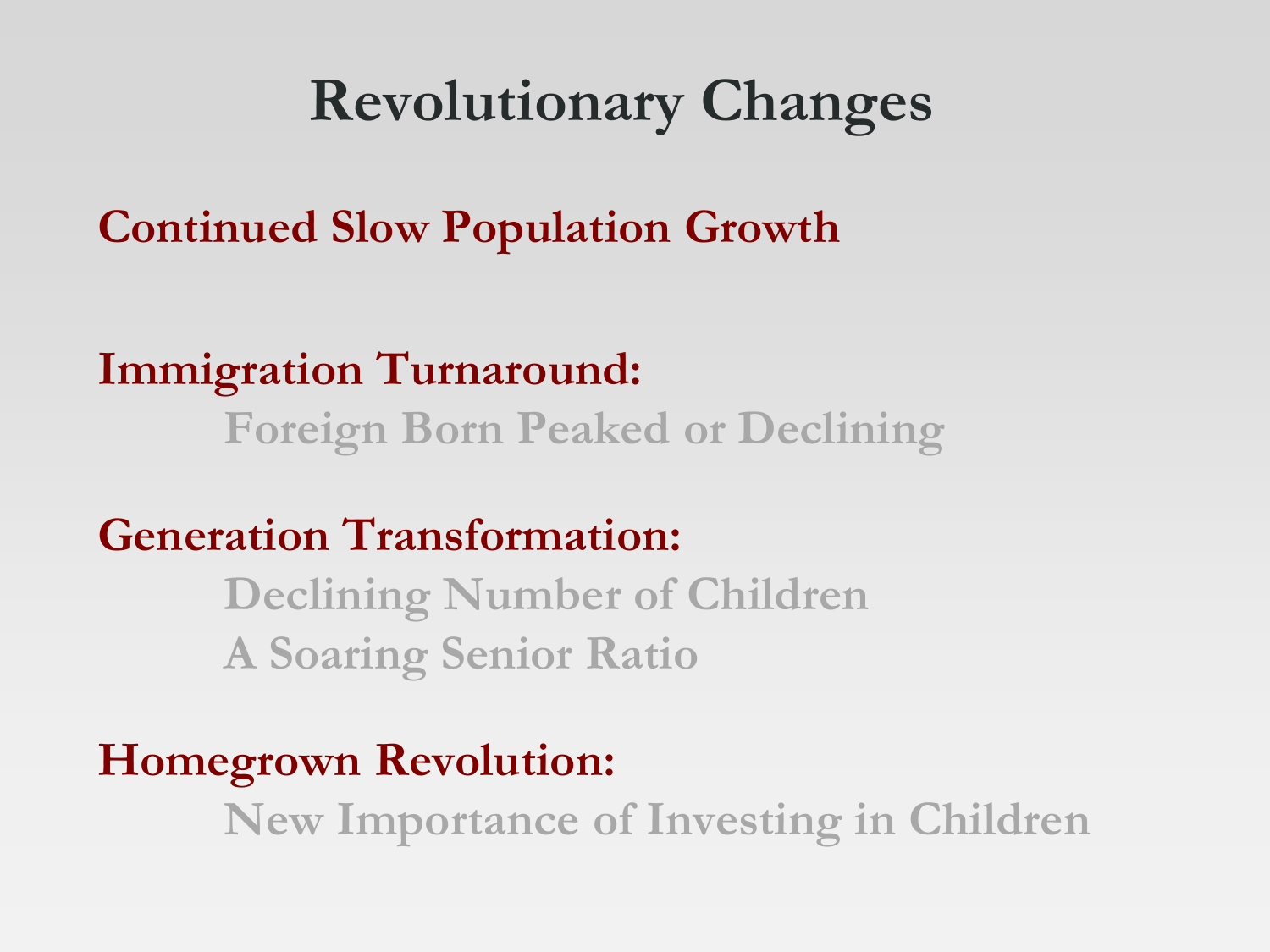#### **Revolutionary Changes**

**Continued Slow Population Growth**

**Immigration Turnaround: Foreign Born Peaked or Declining**

**Generation Transformation:** 

**Declining Number of Children A Soaring Senior Ratio**

**Homegrown Revolution: New Importance of Investing in Children**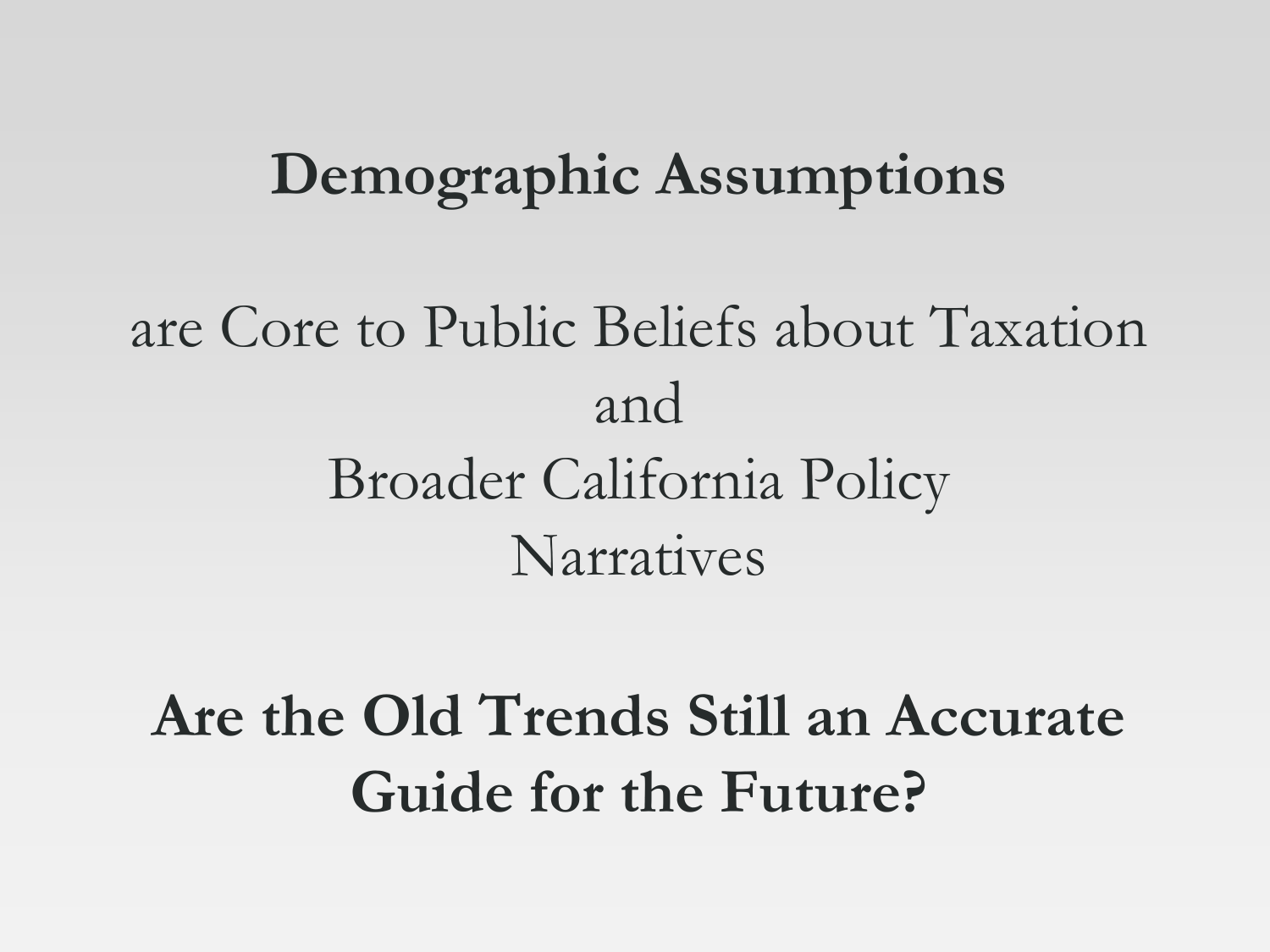#### **Demographic Assumptions**

## are Core to Public Beliefs about Taxation and Broader California Policy Narratives

## **Are the Old Trends Still an Accurate Guide for the Future?**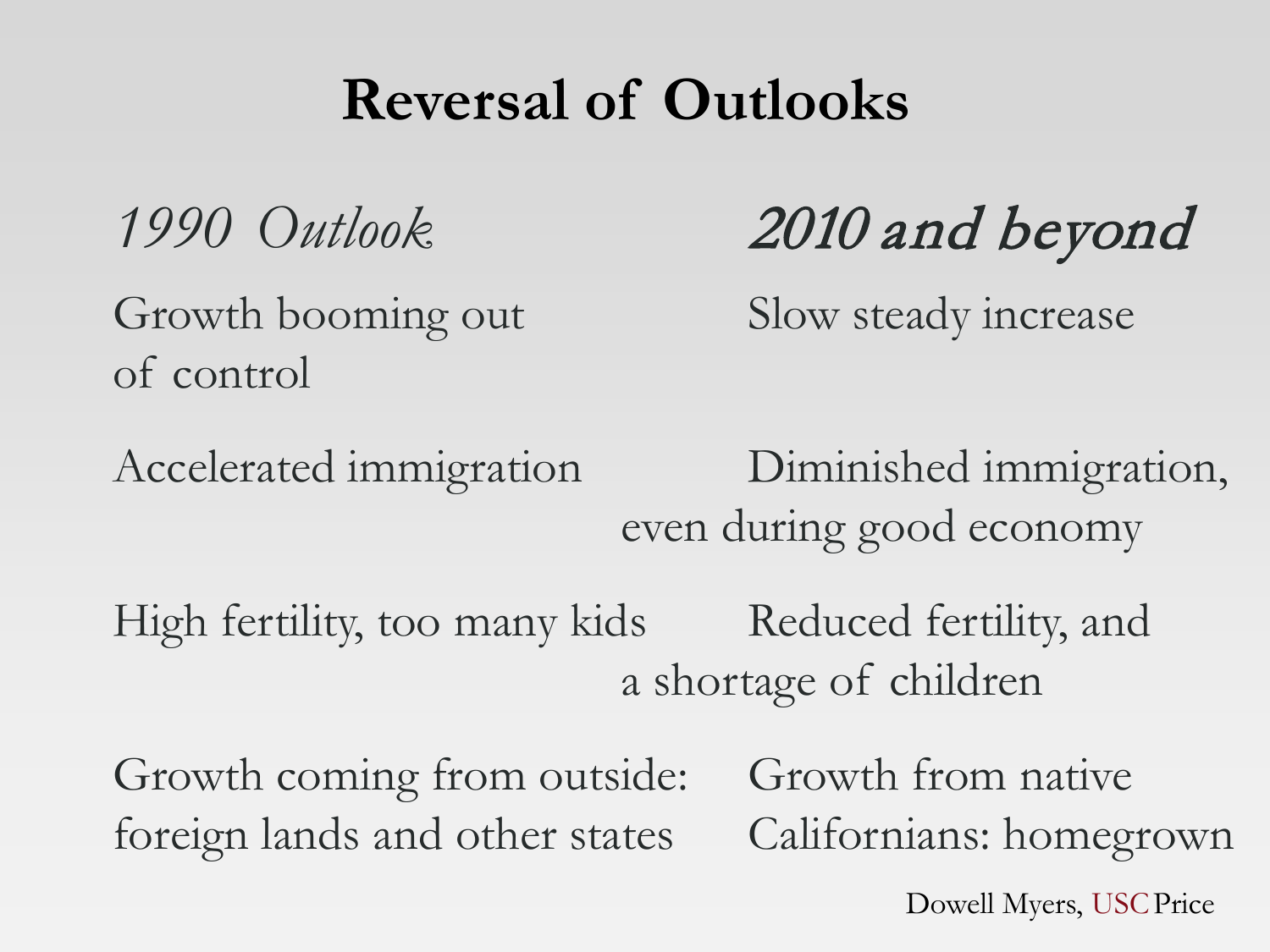## **Reversal of Outlooks**

Growth booming out Slow steady increase of control

*1990 Outlook* 2010 and beyond

Accelerated immigration Diminished immigration, even during good economy

High fertility, too many kids Reduced fertility, and a shortage of children

Growth coming from outside: Growth from native foreign lands and other states Californians: homegrown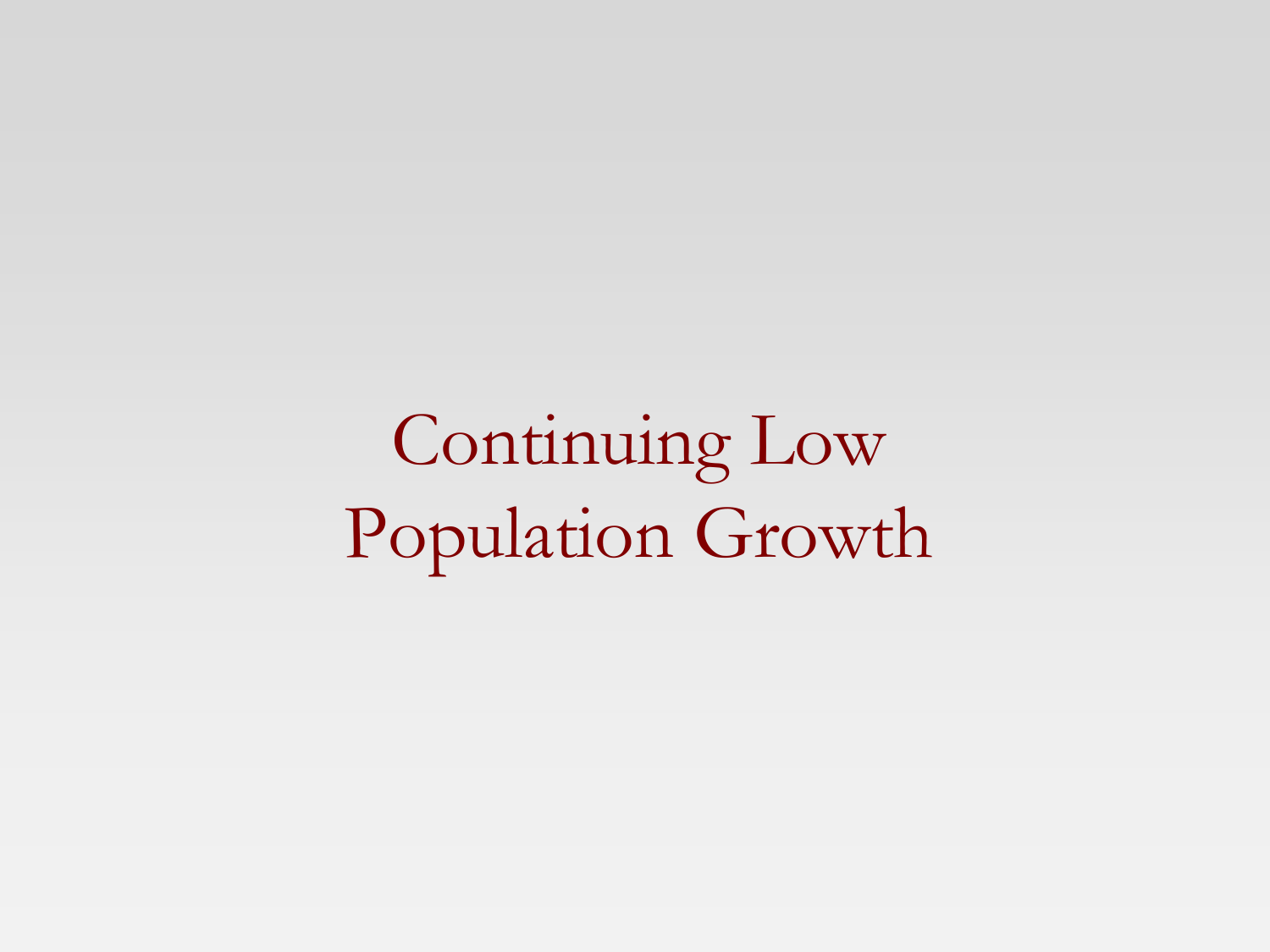Continuing Low Population Growth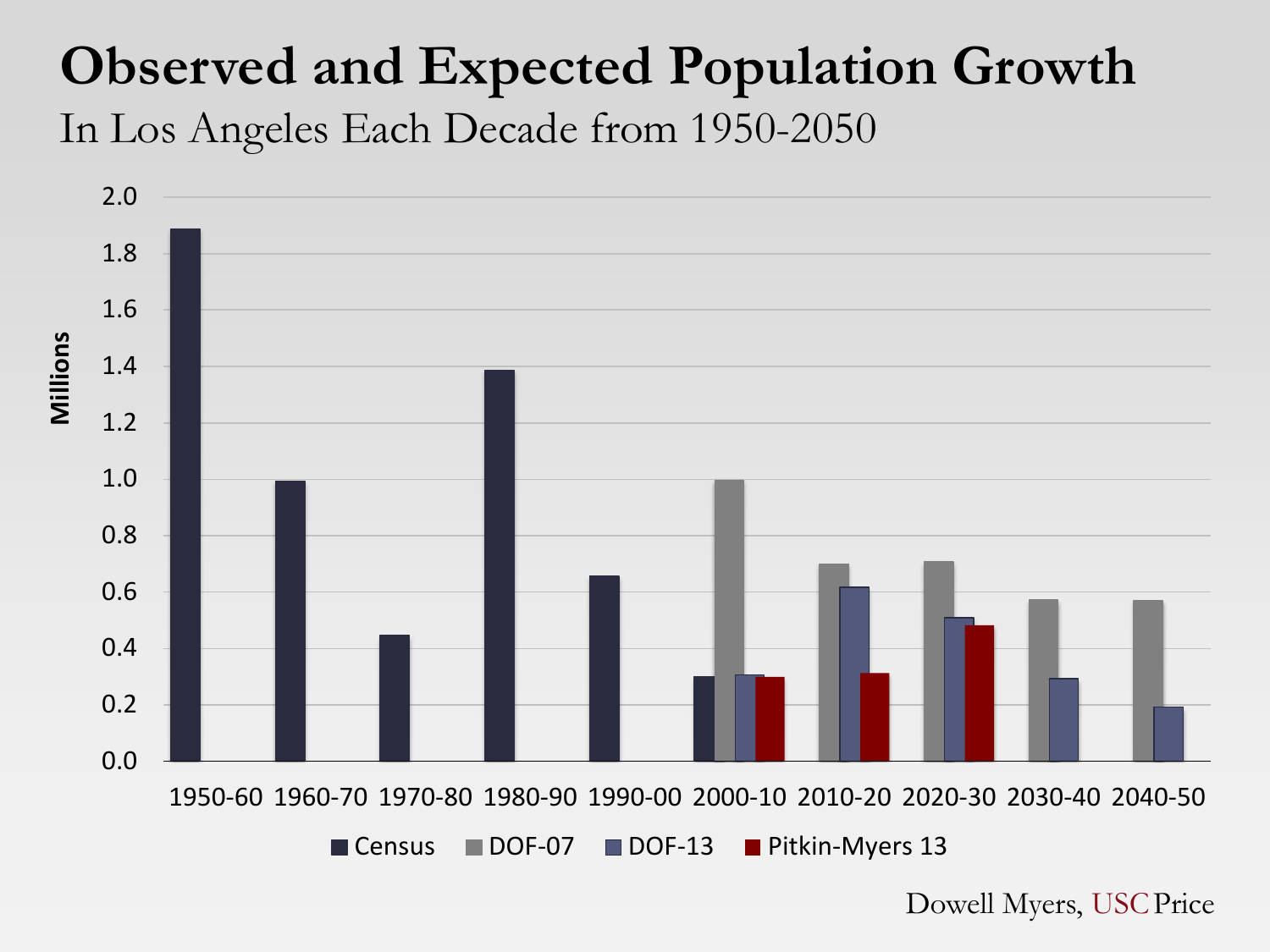#### **Observed and Expected Population Growth** In Los Angeles Each Decade from 1950-2050

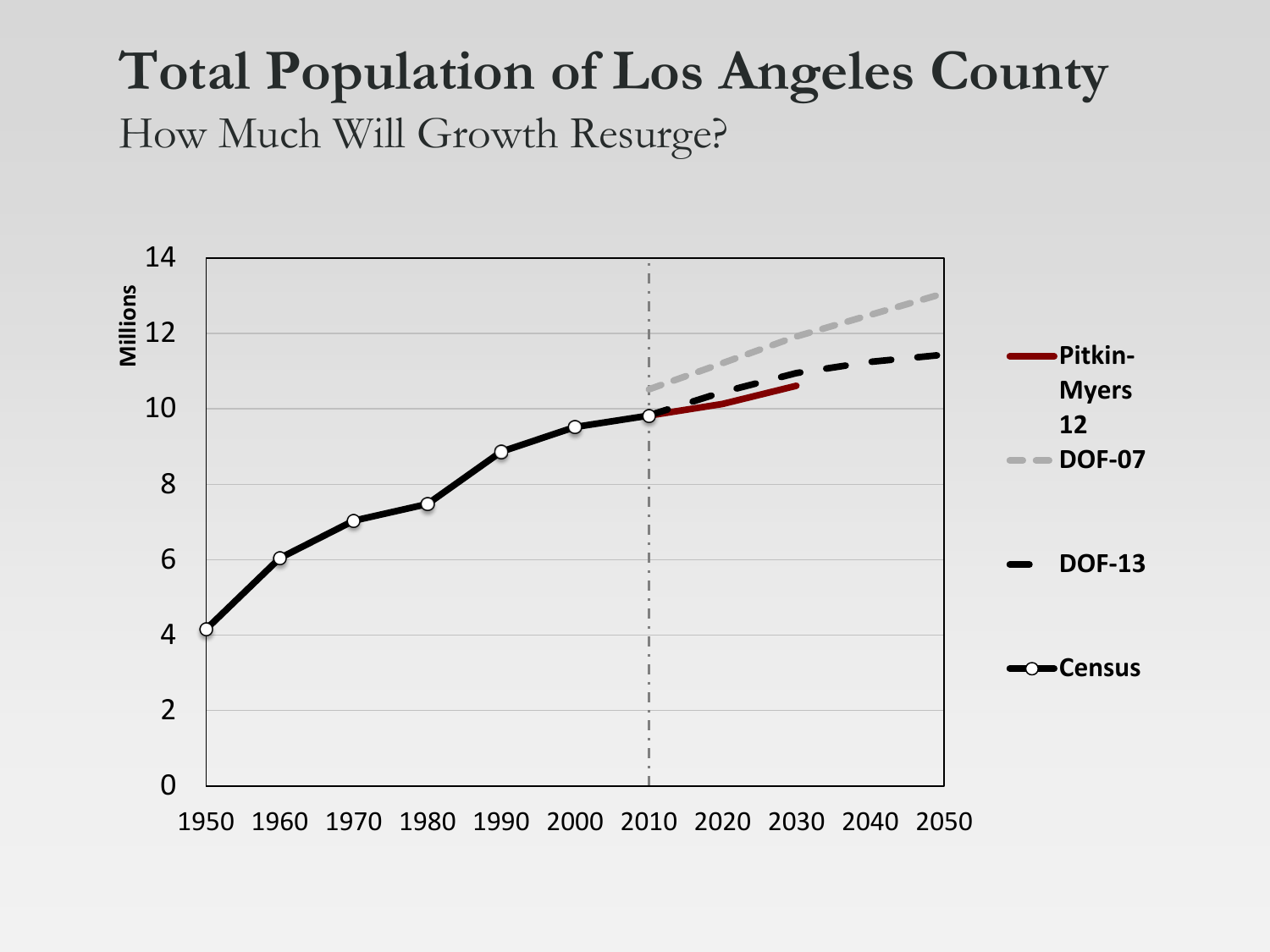#### **Total Population of Los Angeles County** How Much Will Growth Resurge?

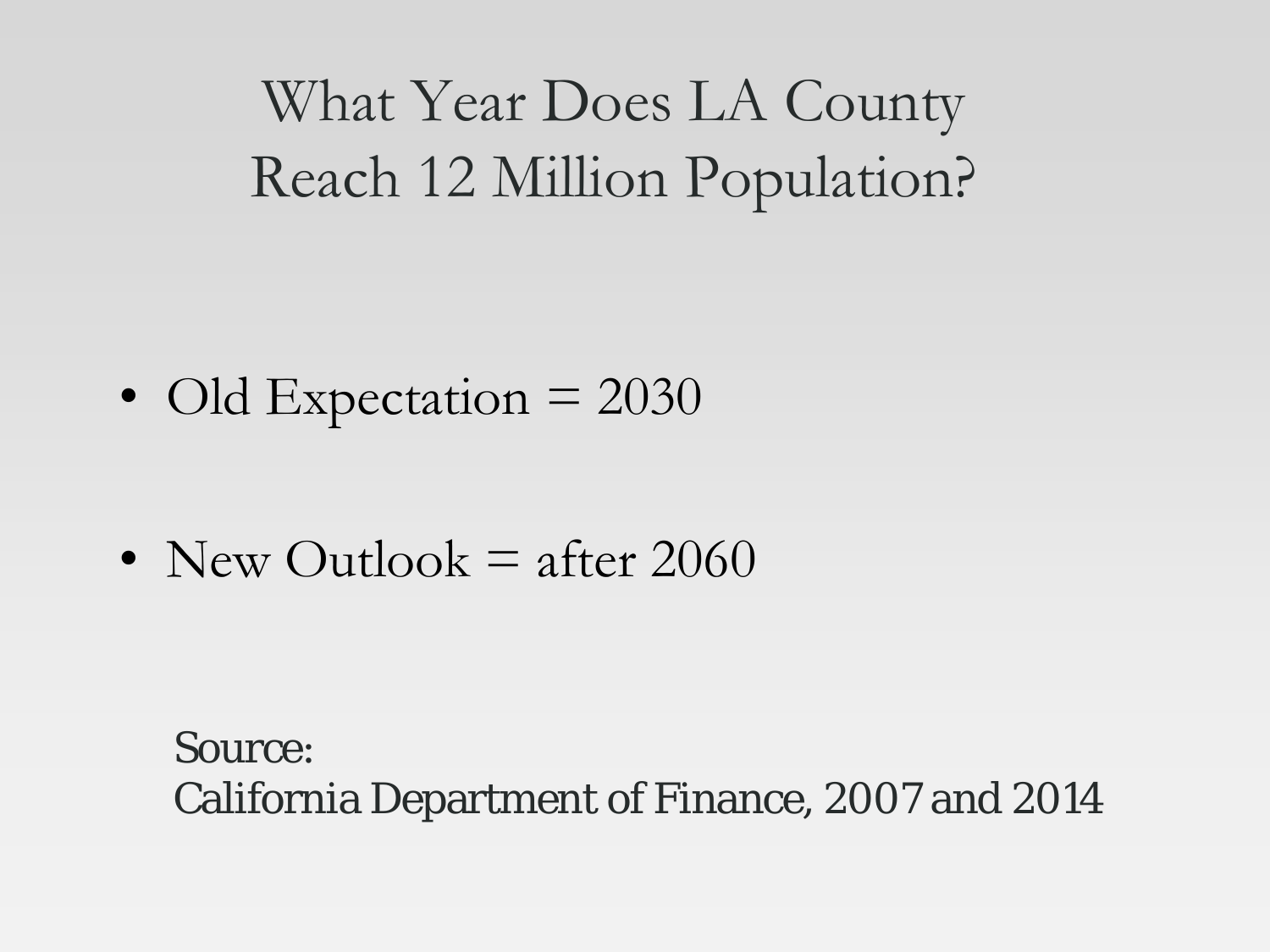What Year Does LA County Reach 12 Million Population?

• Old Expectation  $= 2030$ 

• New Outlook  $=$  after 2060

Source: California Department of Finance, 2007 and 2014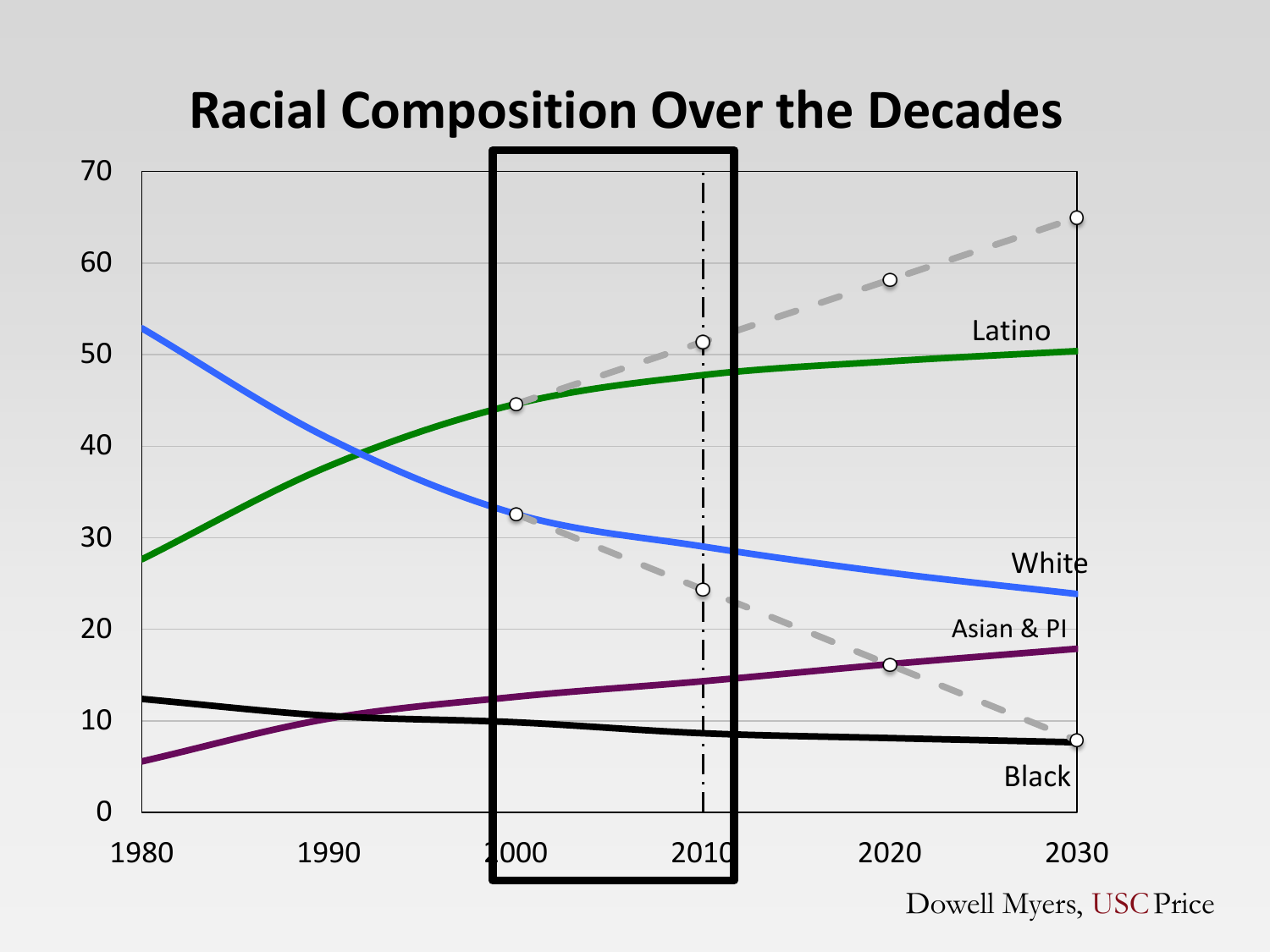

**Racial Composition Over the Decades**

Dowell Myers, USCPrice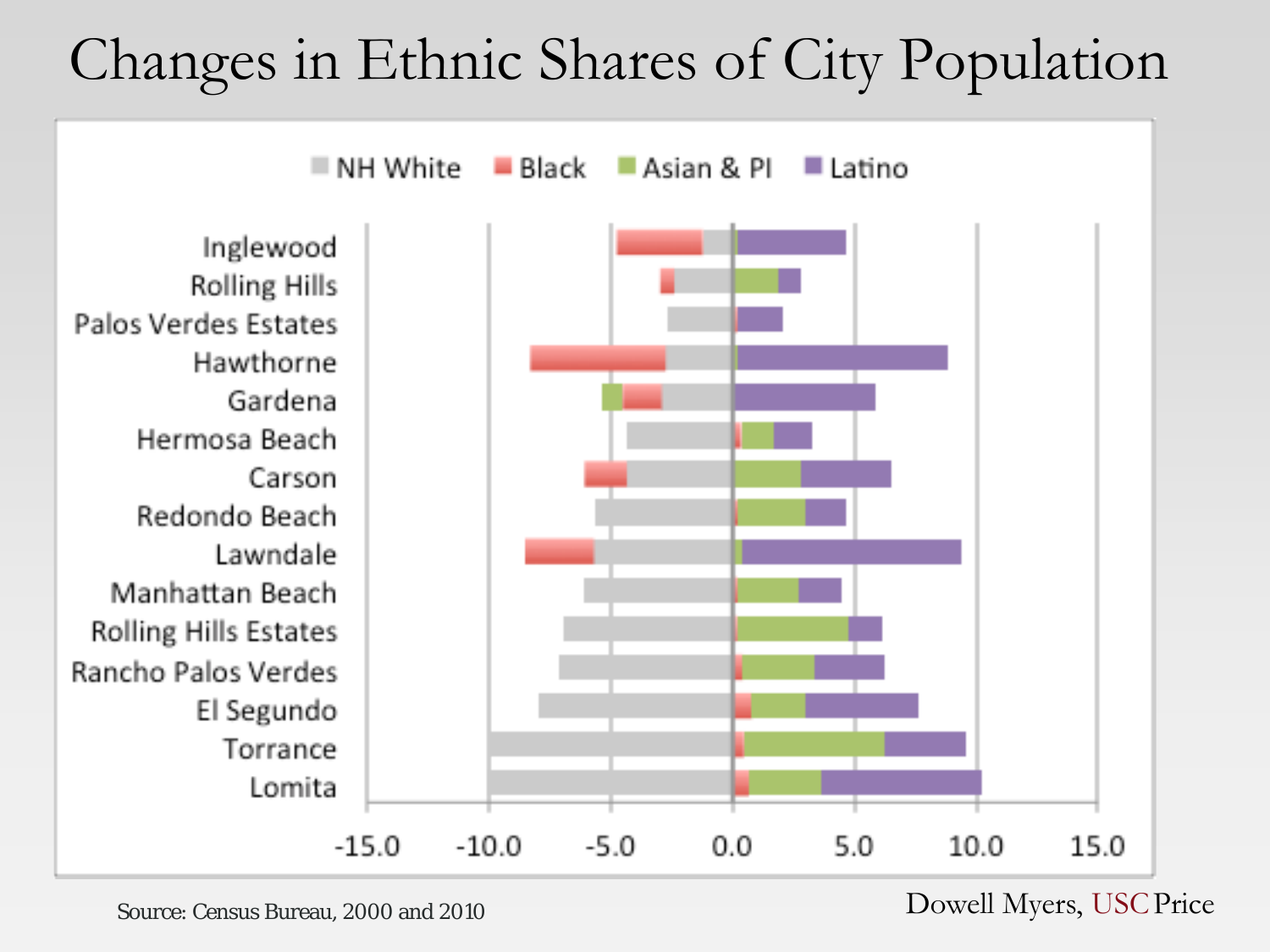## Changes in Ethnic Shares of City Population



Source: Census Bureau, 2000 and 2010 Dowell Myers, USC Price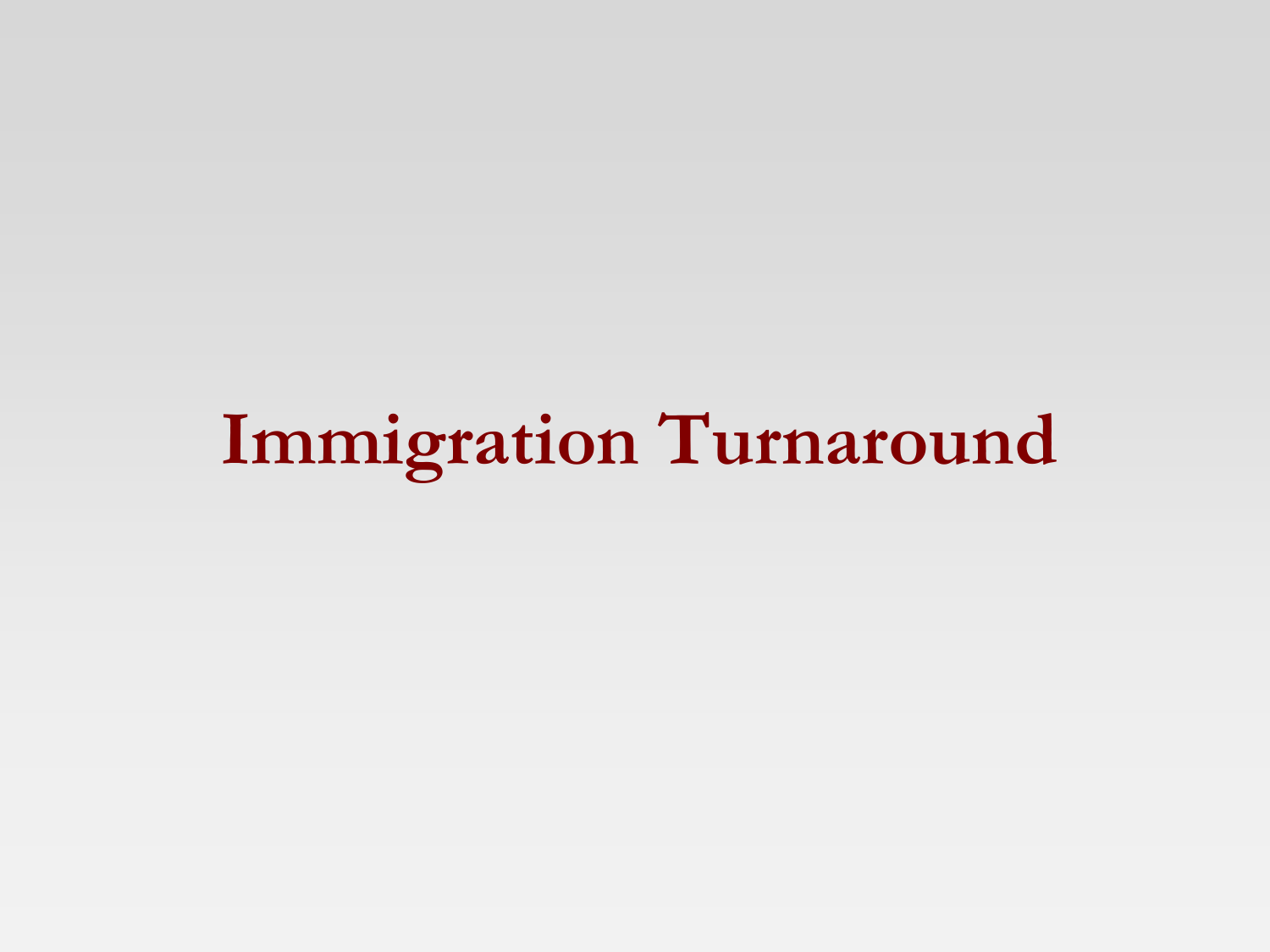# **Immigration Turnaround**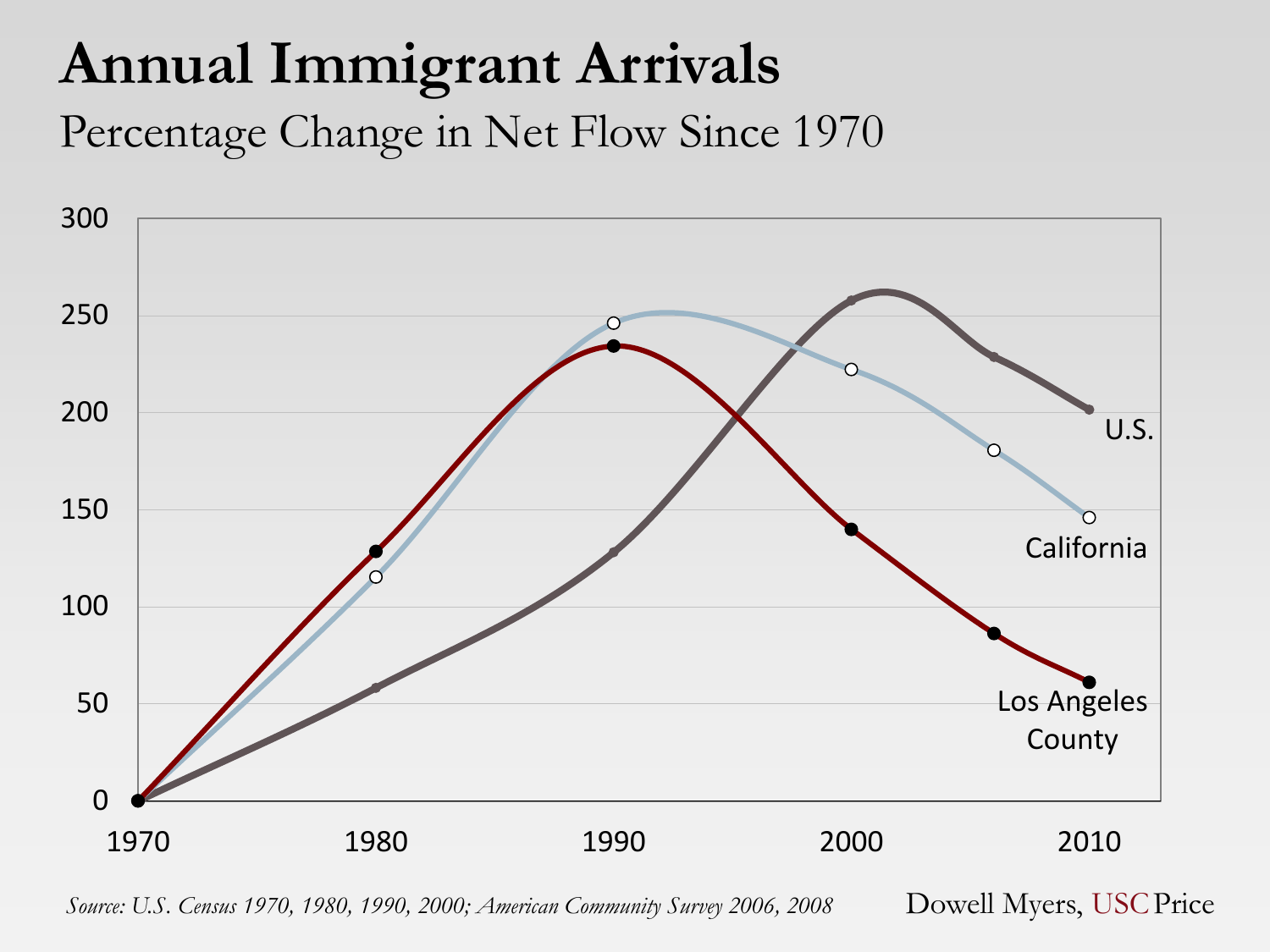## **Annual Immigrant Arrivals**

Percentage Change in Net Flow Since 1970



*Source: U.S. Census 1970, 1980, 1990, 2000; American Community Survey 2006, 2008* Dowell Myers, USCPrice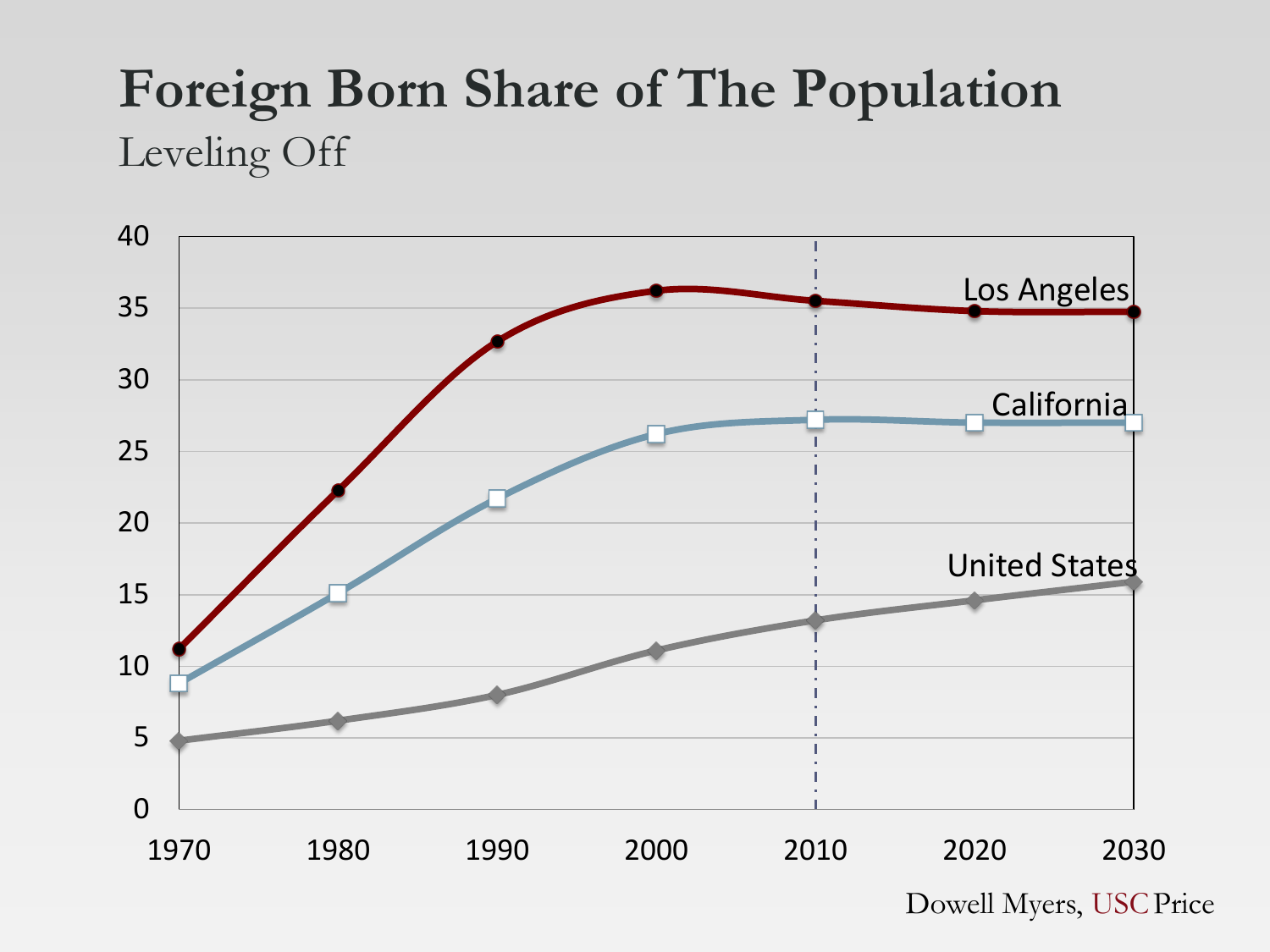#### **Foreign Born Share of The Population** Leveling Off

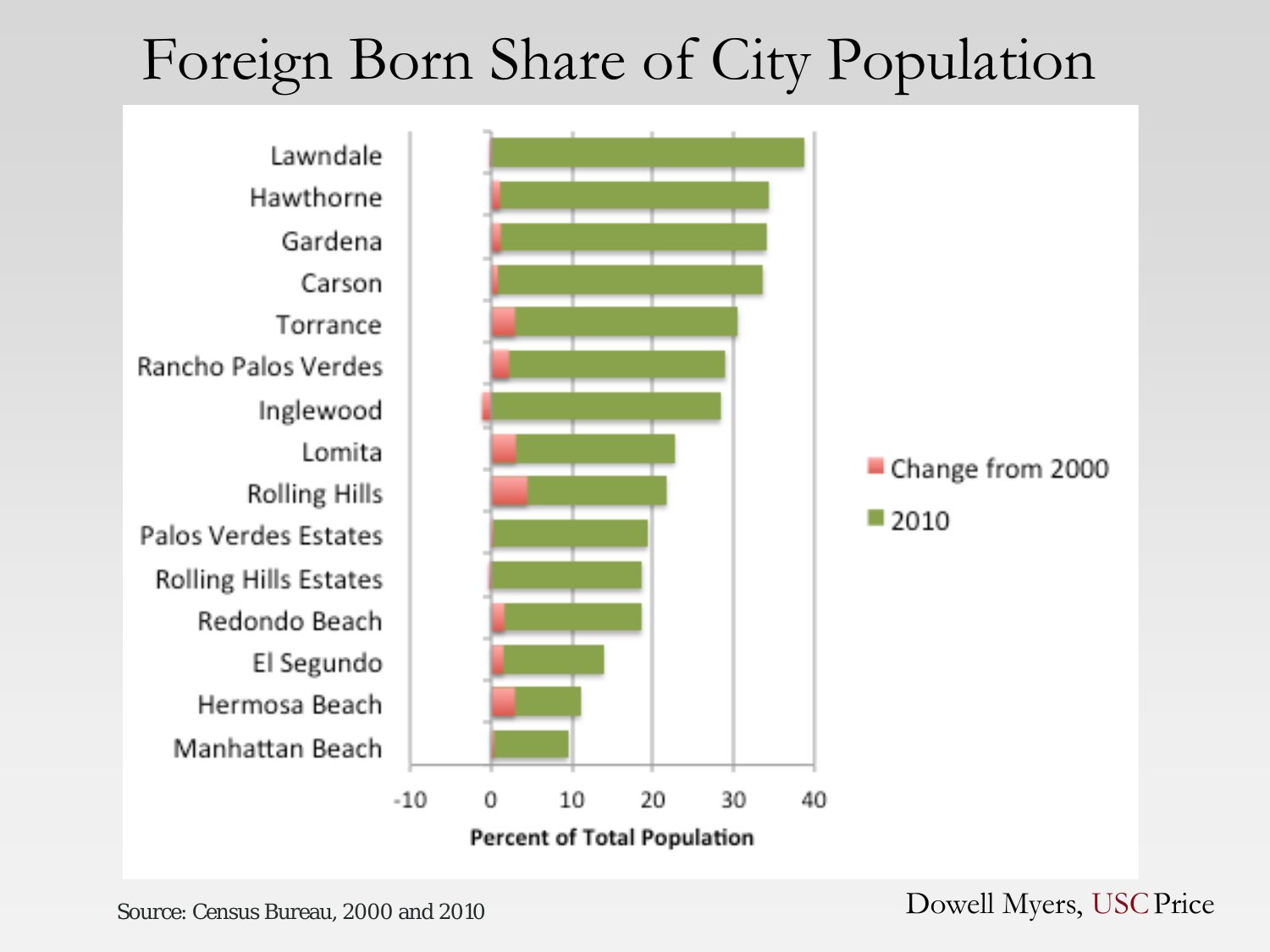## Foreign Born Share of City Population



Source: Census Bureau, 2000 and 2010 Dowell Myers, USC Price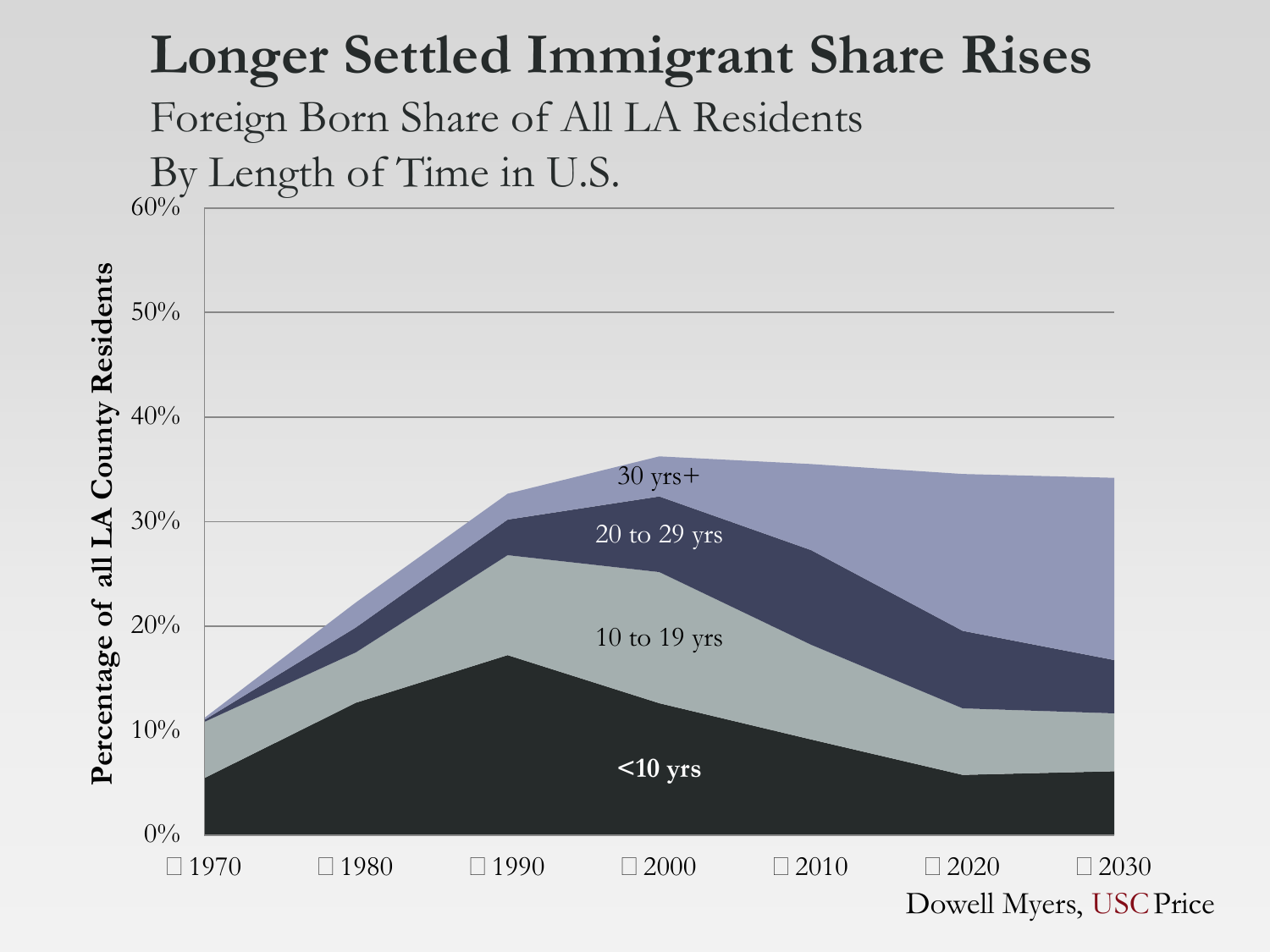#### **Longer Settled Immigrant Share Rises**

Foreign Born Share of All LA Residents

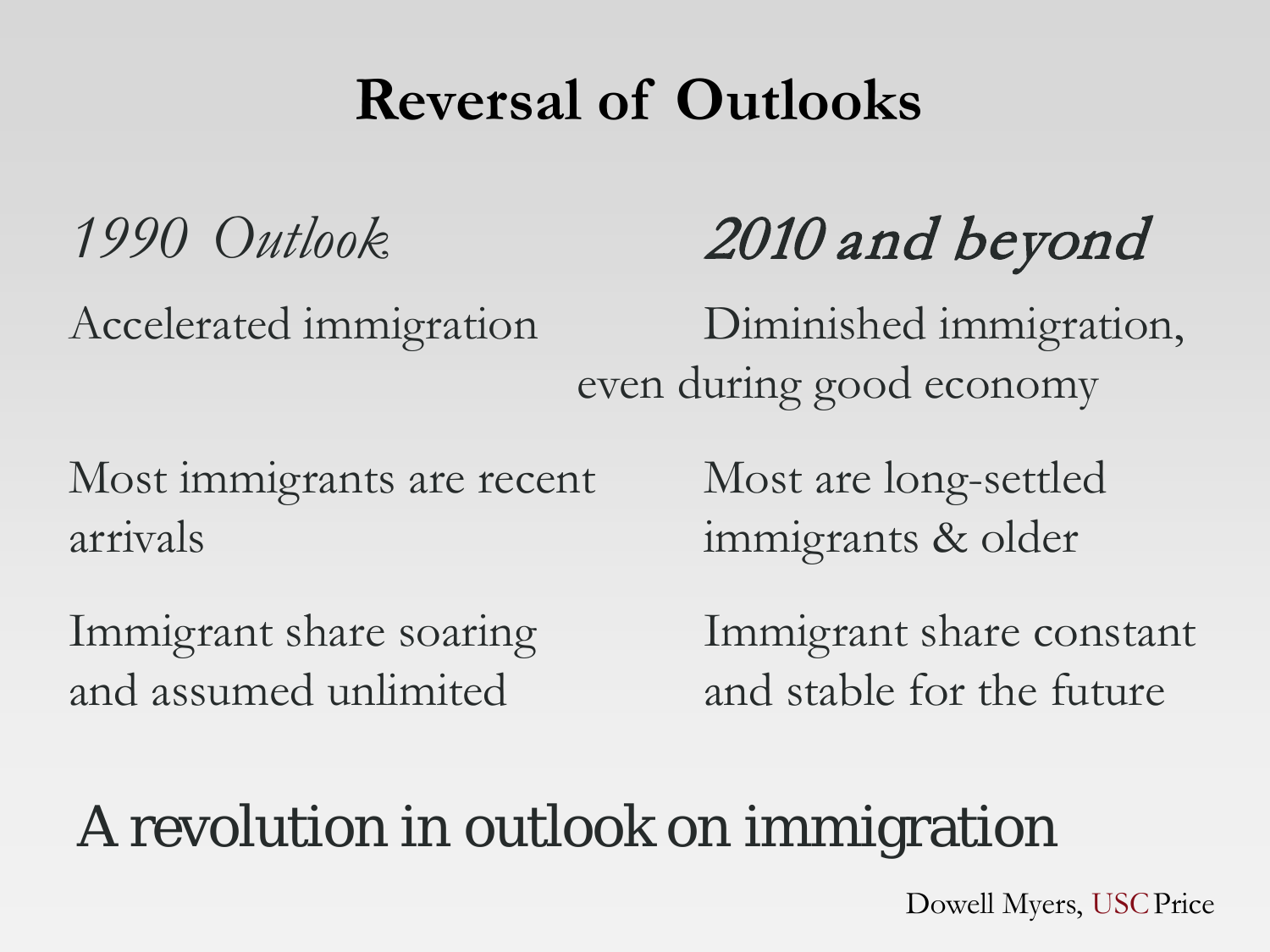## **Reversal of Outlooks**

# *1990 Outlook* 2010 and beyond

Accelerated immigration Diminished immigration, even during good economy

Most immigrants are recent Most are long-settled arrivals immigrants & older

and assumed unlimited and stable for the future

Immigrant share soaring Immigrant share constant

## A revolution in outlook on immigration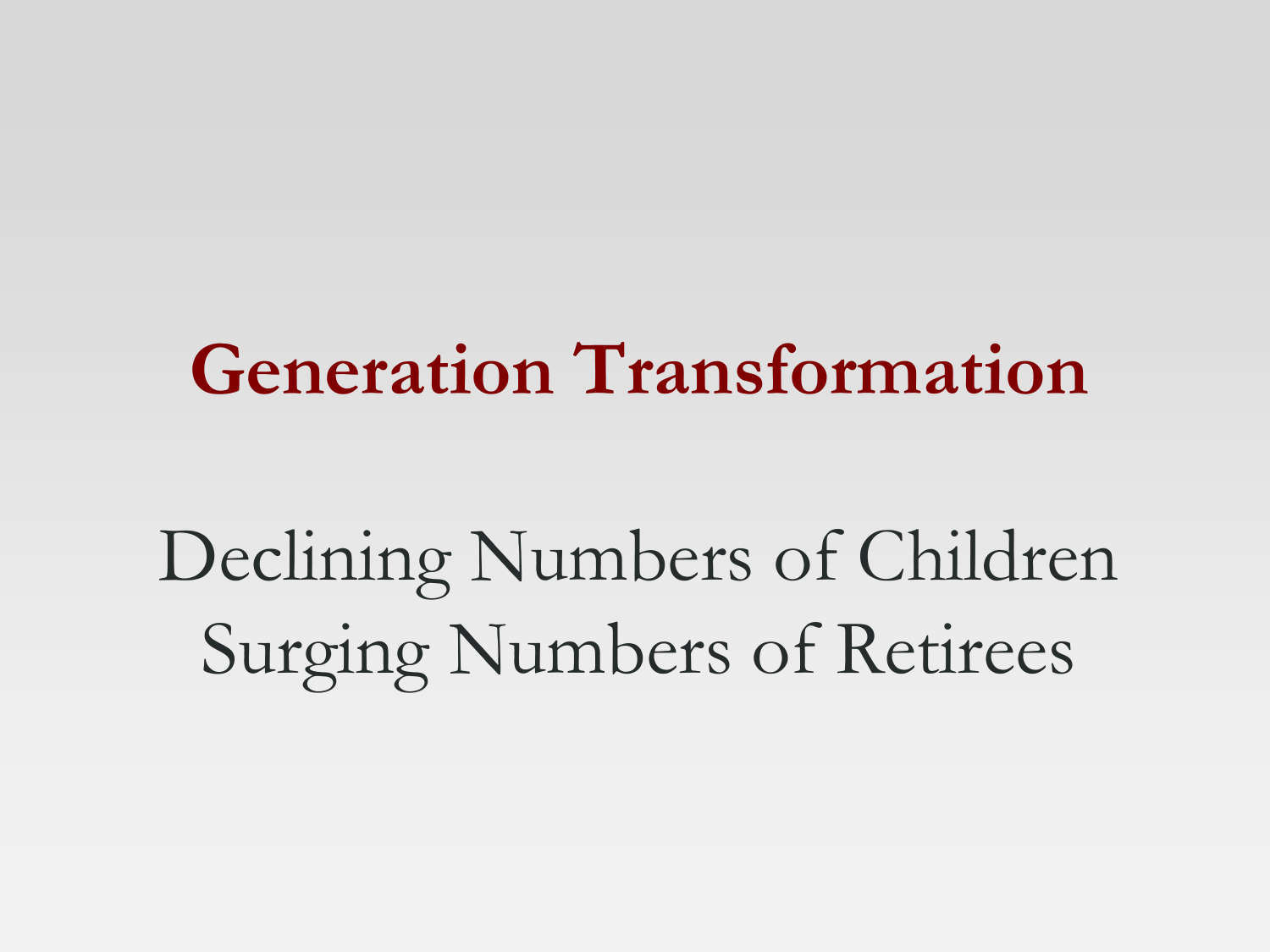# **Generation Transformation**

Declining Numbers of Children Surging Numbers of Retirees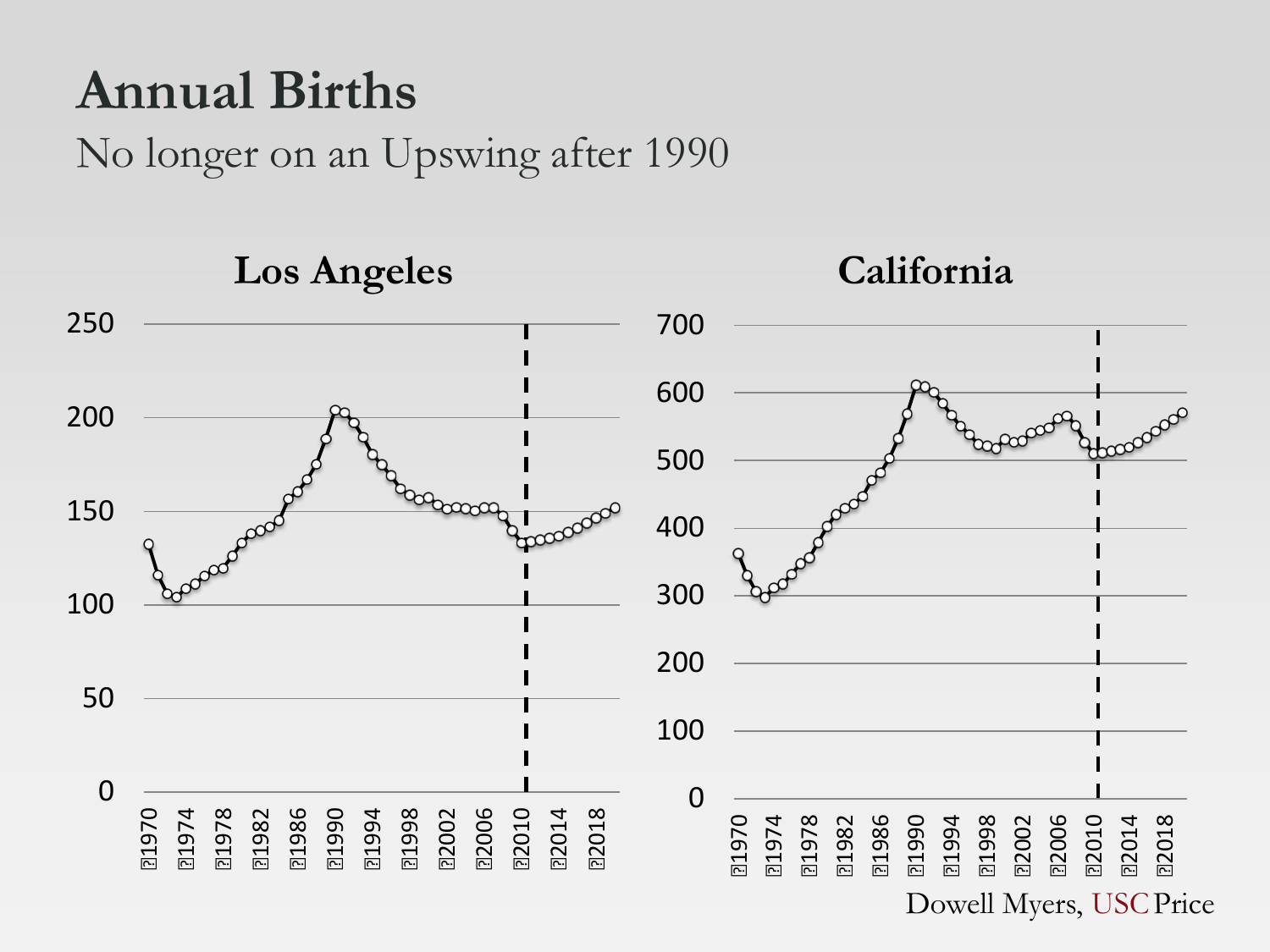#### **Annual Births**

No longer on an Upswing after 1990

**Los Angeles California** booodd boopoooo Boordened n978<br>1986<br>1990<br>1994<br>1998<br>1902 1974 1978 1982 1986 1994 1998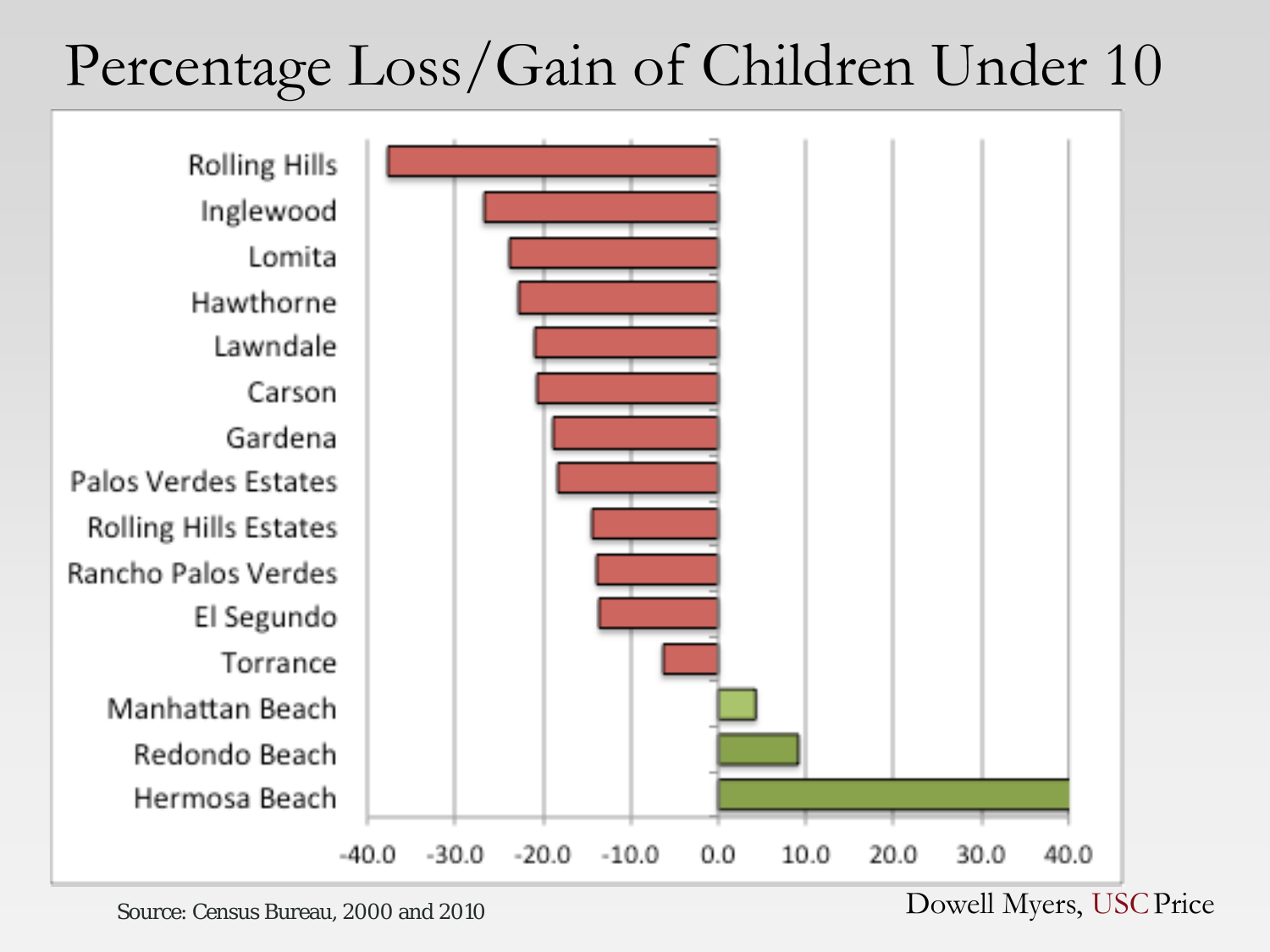## Percentage Loss/Gain of Children Under 10



Source: Census Bureau, 2000 and 2010 Dowell Myers, USC Price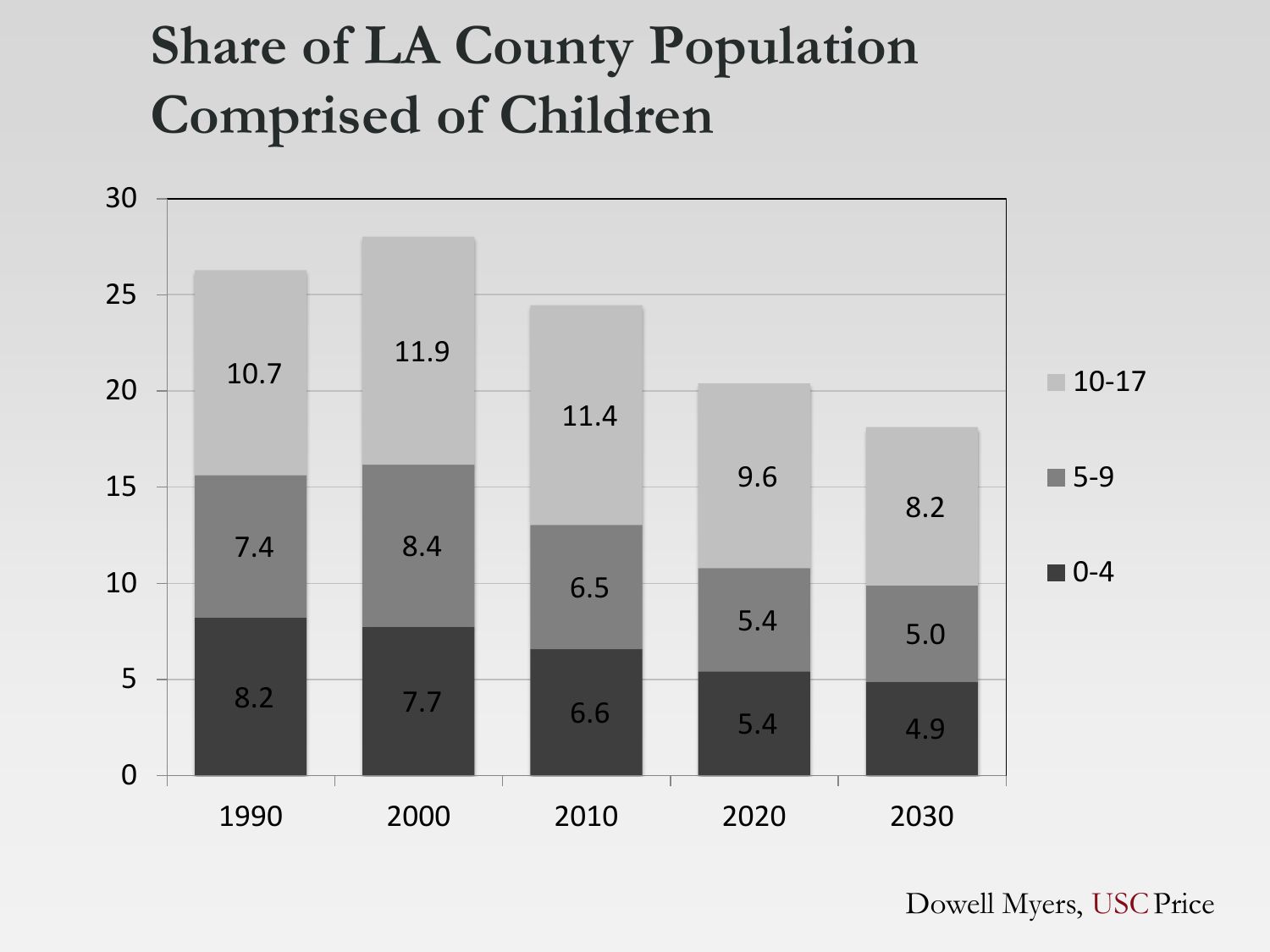## **Share of LA County Population Comprised of Children**

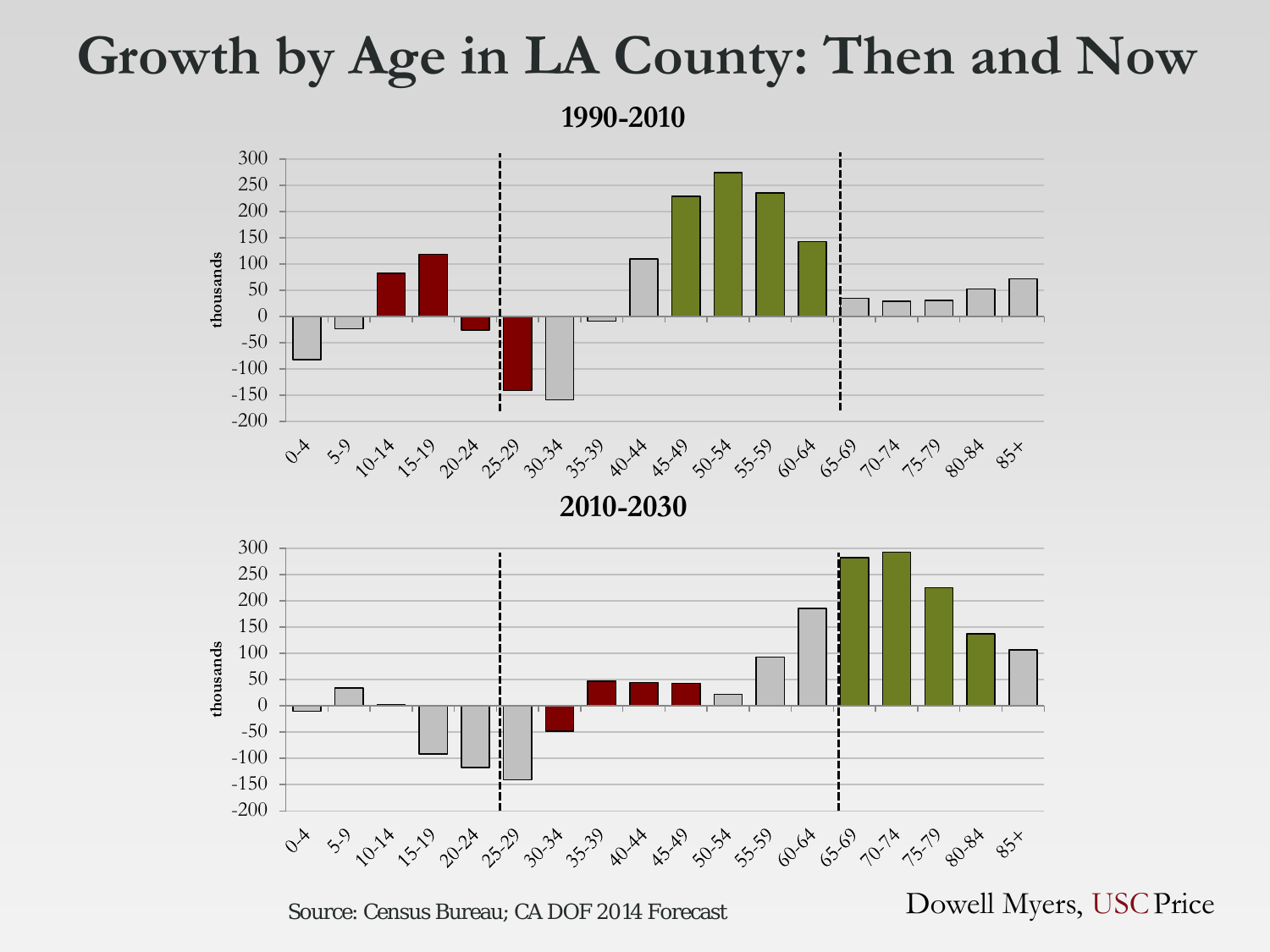#### **Growth by Age in LA County: Then and Now**

**1990-2010**



Source: Census Bureau; CA DOF 2014 Forecast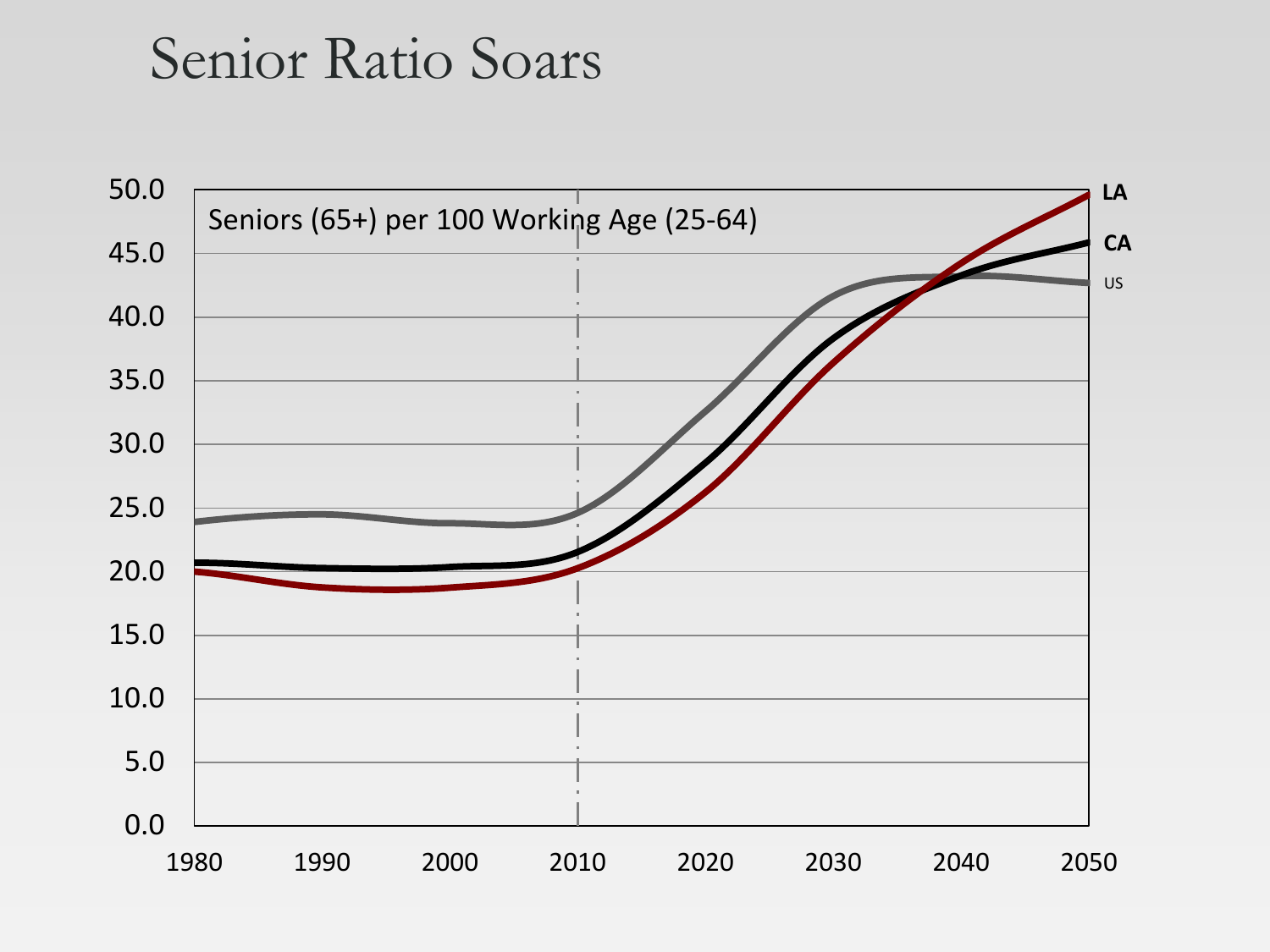#### Senior Ratio Soars

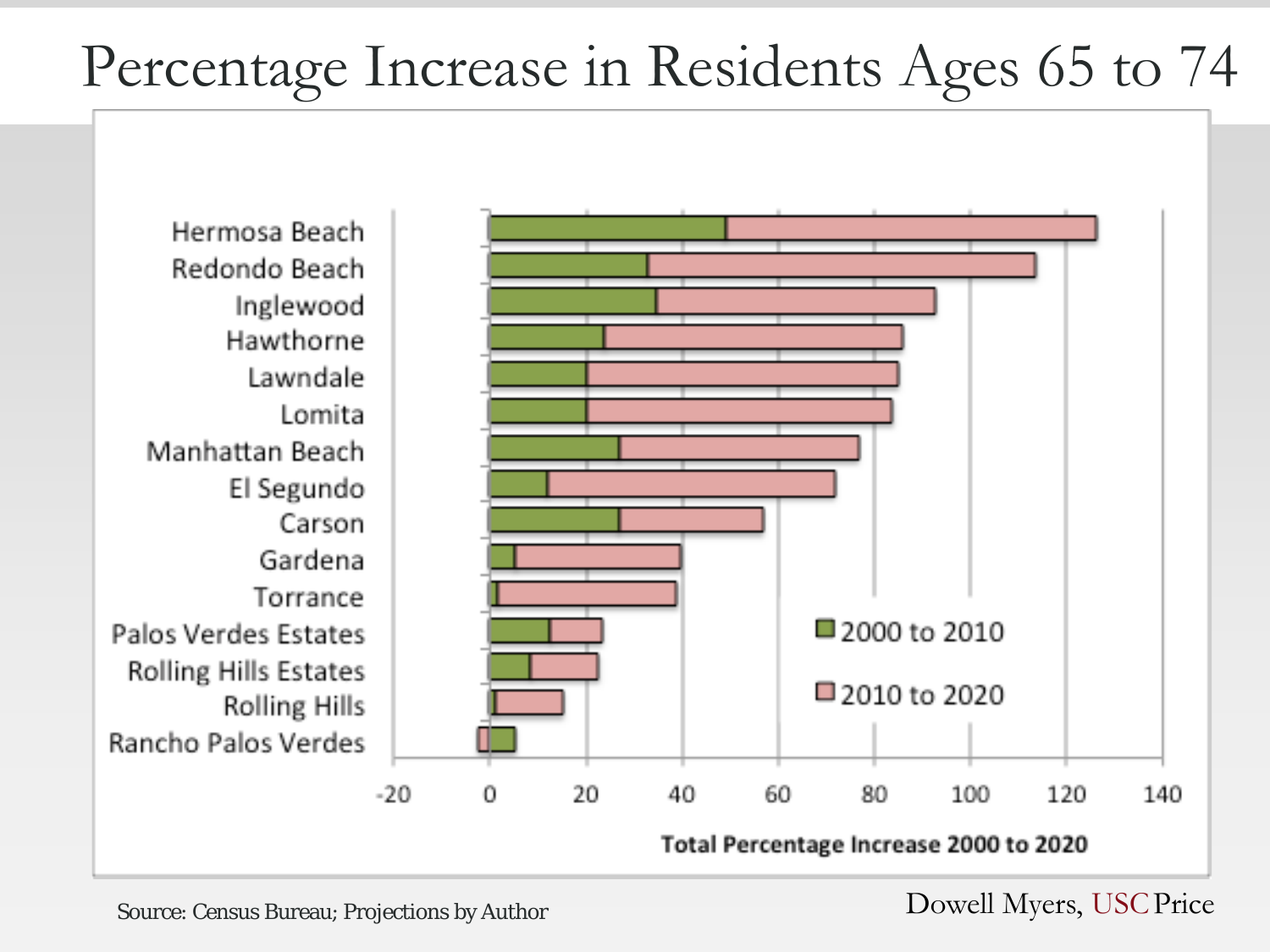## Percentage Increase in Residents Ages 65 to 74

Hermosa Beach Redondo Beach Inglewood Hawthorne Lawndale Lomita Manhattan Beach El Segundo Carson Gardena Torrance Palos Verdes Estates **Rolling Hills Estates** Rolling Hills **Rancho Palos Verdes** 



Source: Census Bureau; Projections by Author Dowell Myers, USC Price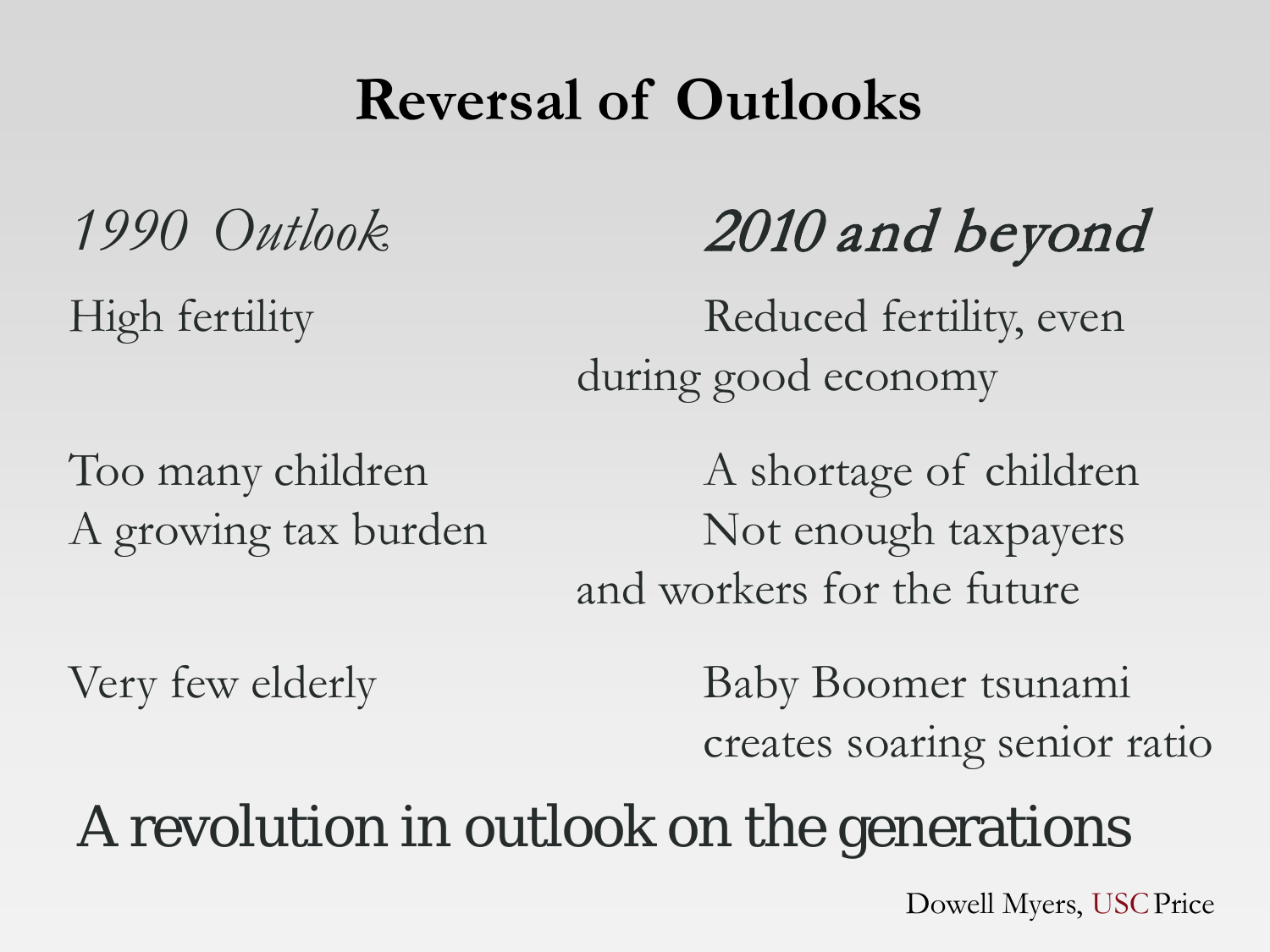### **Reversal of Outlooks**

*1990 Outlook* 2010 and beyond

High fertility Reduced fertility, even during good economy

Too many children A shortage of children A growing tax burden Not enough taxpayers and workers for the future

Very few elderly Baby Boomer tsunami creates soaring senior ratio

## A revolution in outlook on the generations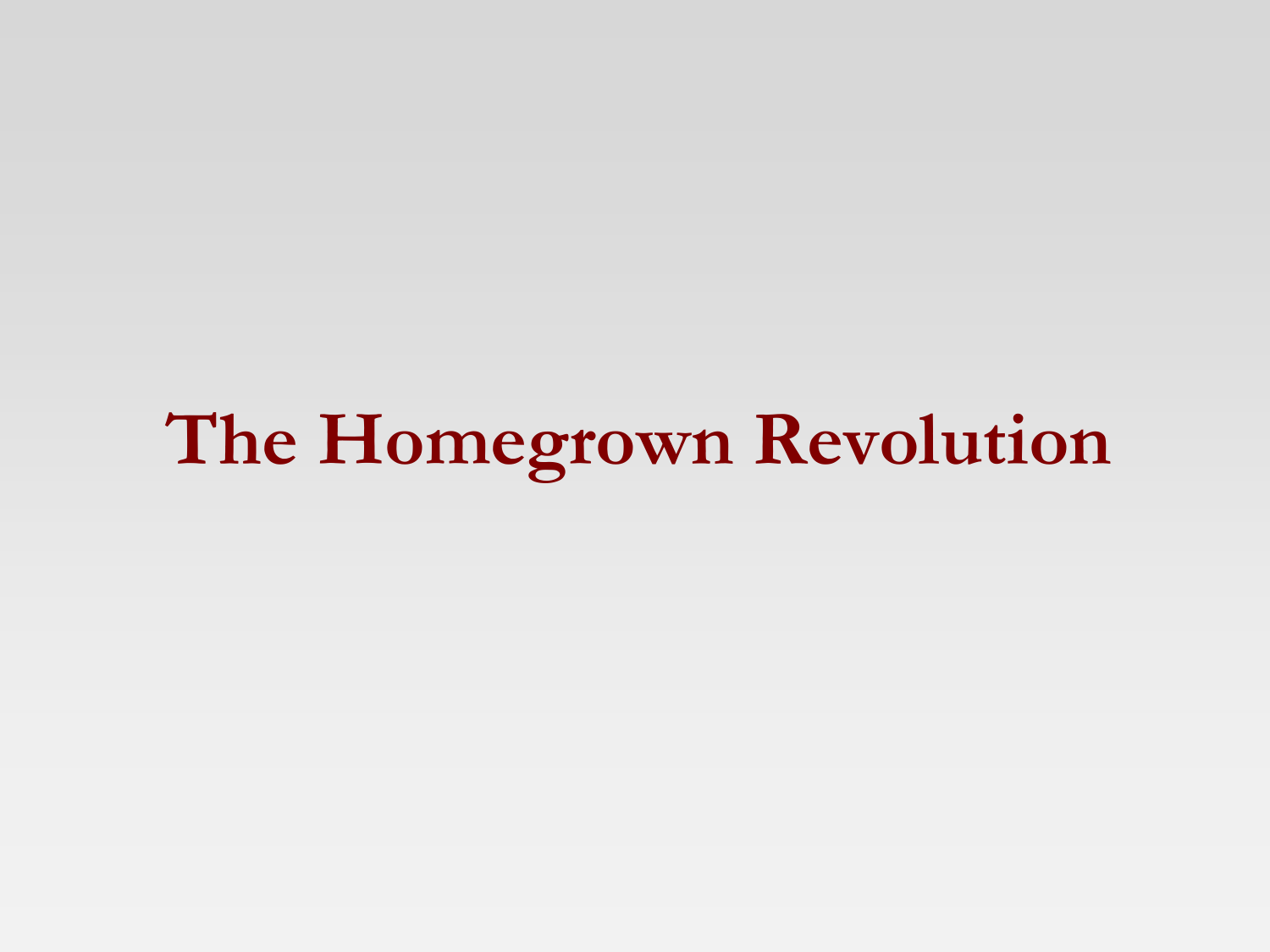**The Homegrown Revolution**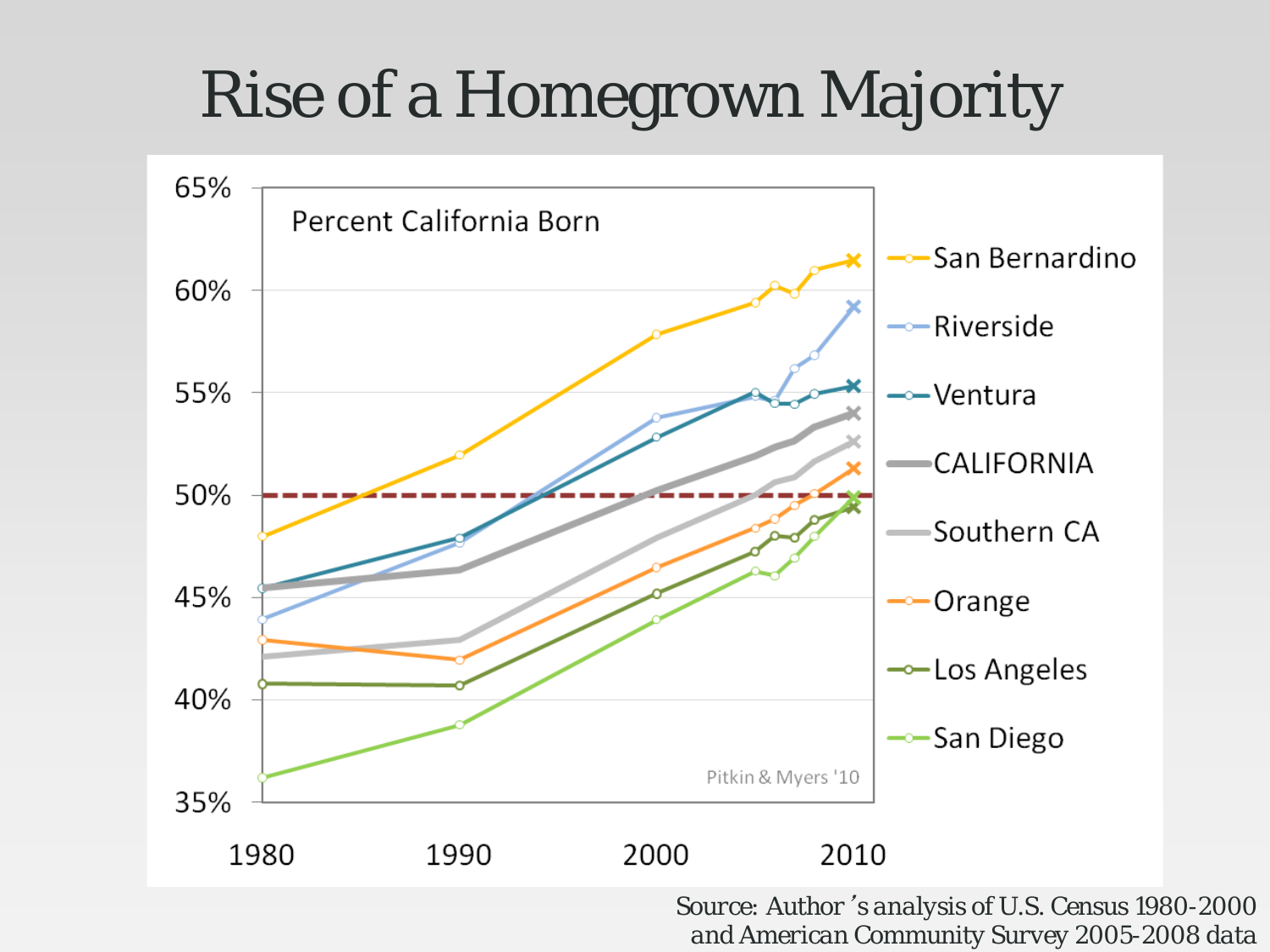# Rise of a Homegrown Majority



*Source: Author*'*s analysis of U.S. Census 1980-2000 and American Community Survey 2005-2008 data*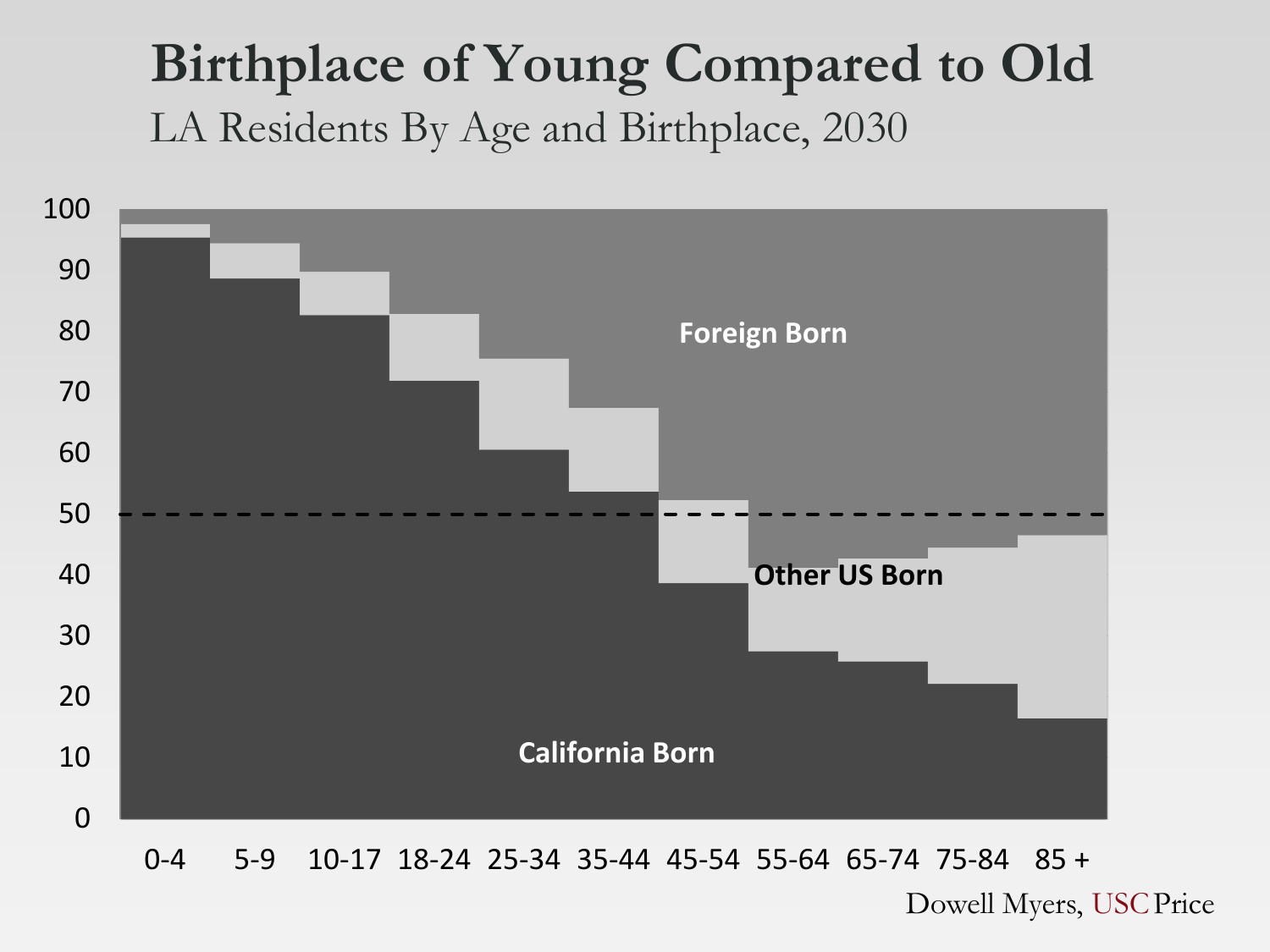#### **Birthplace of Young Compared to Old** LA Residents By Age and Birthplace, 2030



0-4 5-9 10-17 18-24 25-34 35-44 45-54 55-64 65-74 75-84 85 +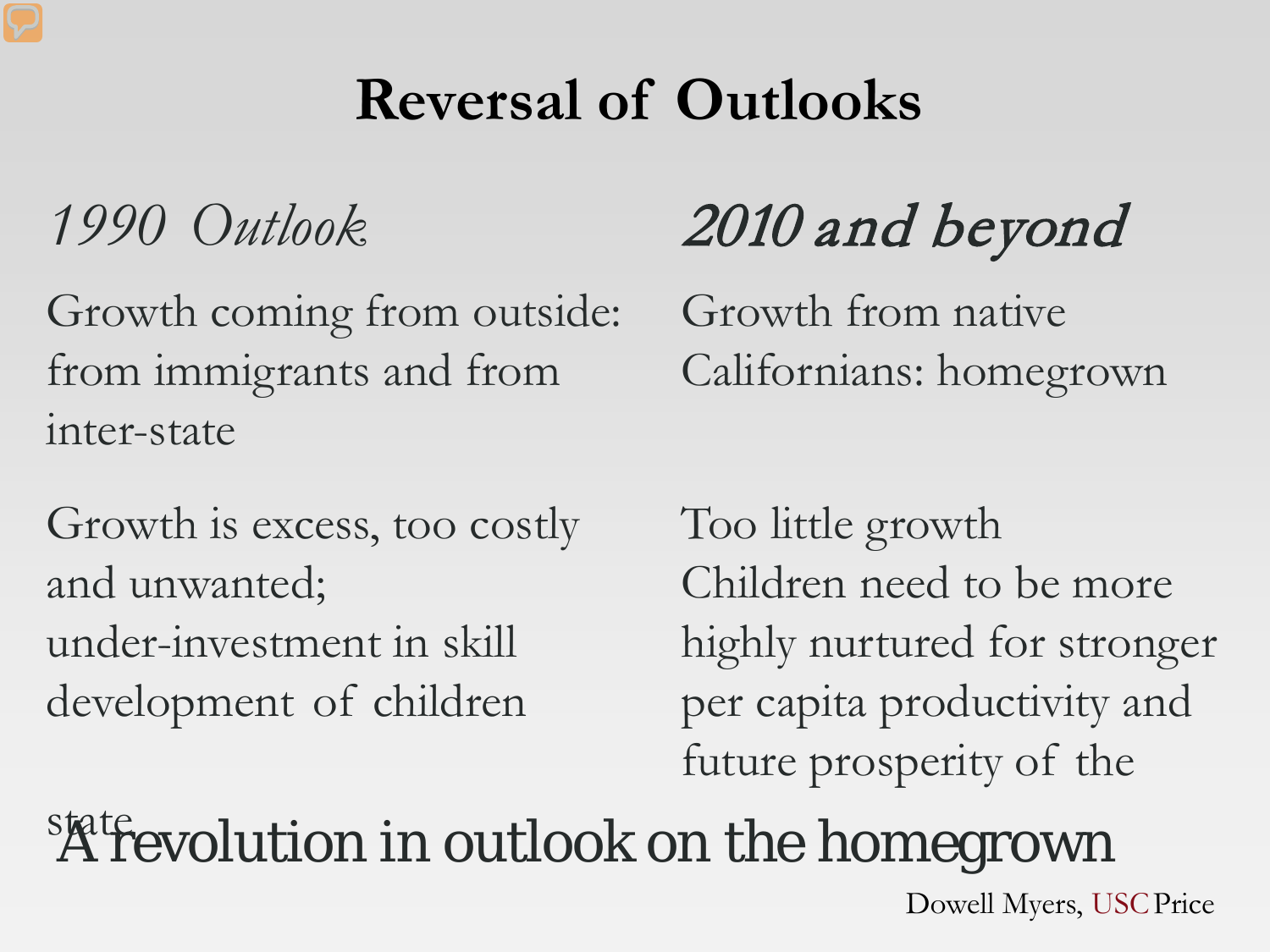## **Reversal of Outlooks**

Growth coming from outside: Growth from native from immigrants and from Californians: homegrown inter-state

Growth is excess, too costly Too little growth and unwanted; Children need to be more development of children per capita productivity and

# *1990 Outlook* 2010 and beyond

under-investment in skill highly nurtured for stronger future prosperity of the

state evolution in outlook on the homegrown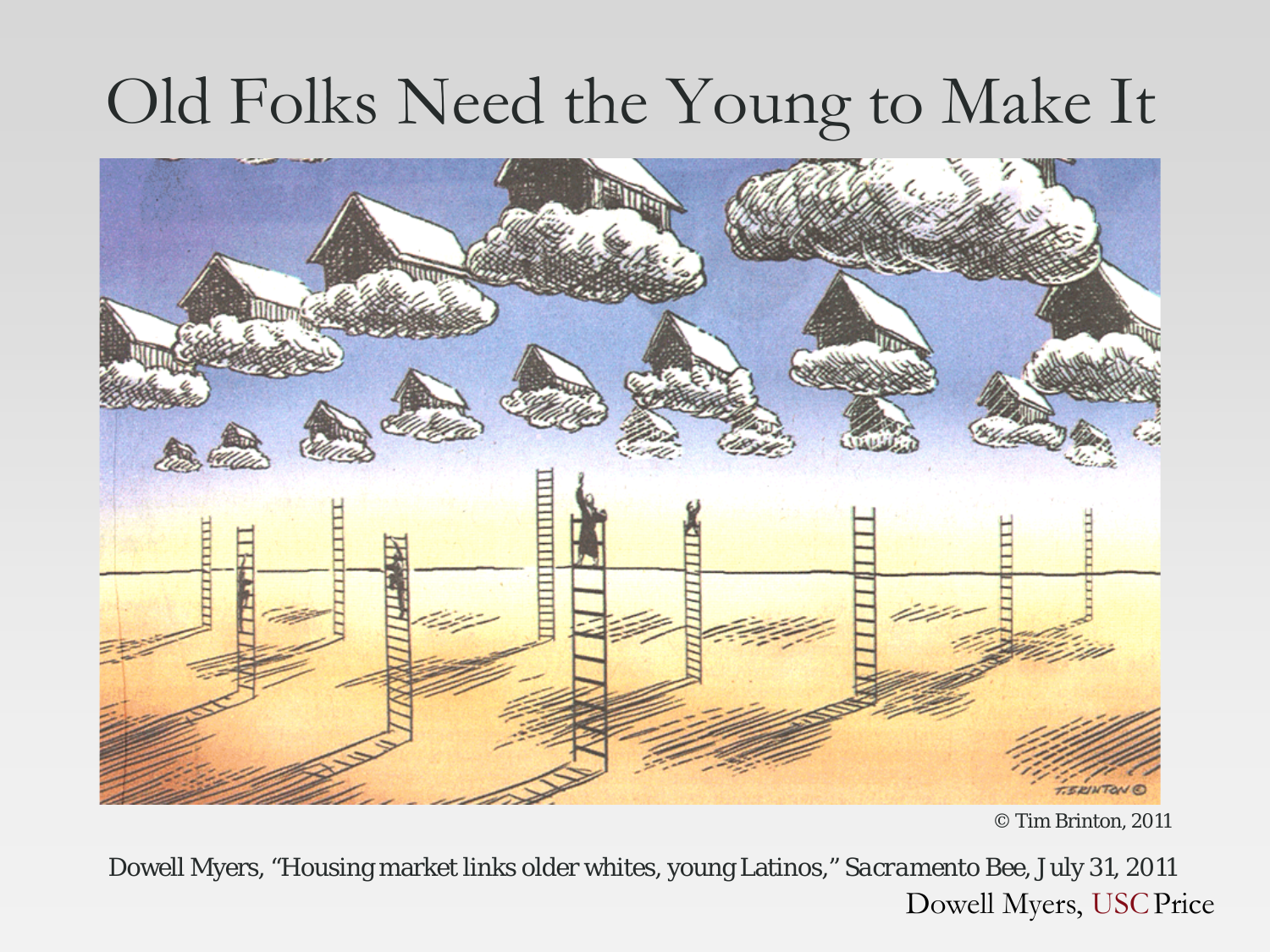# Old Folks Need the Young to Make It



<sup>©</sup> Tim Brinton, 2011

Dowell Myers, "Housing market links older whites, young Latinos," *Sacramento Bee*, July 31, 2011 Dowell Myers, USCPrice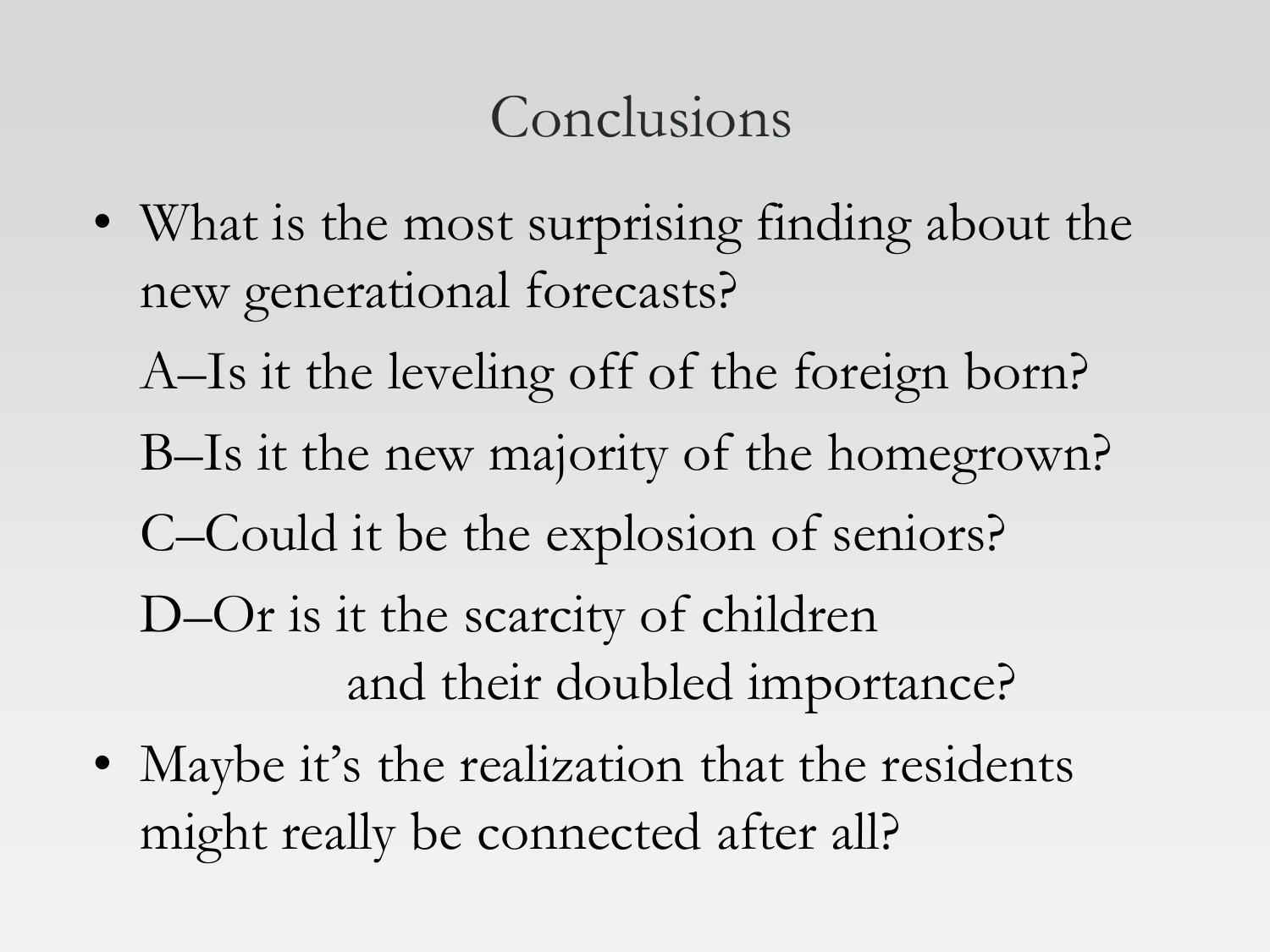## Conclusions

- What is the most surprising finding about the new generational forecasts?
	- A–Is it the leveling off of the foreign born?
	- B–Is it the new majority of the homegrown?
	- C–Could it be the explosion of seniors?
	- D–Or is it the scarcity of children and their doubled importance?
- Maybe it's the realization that the residents might really be connected after all?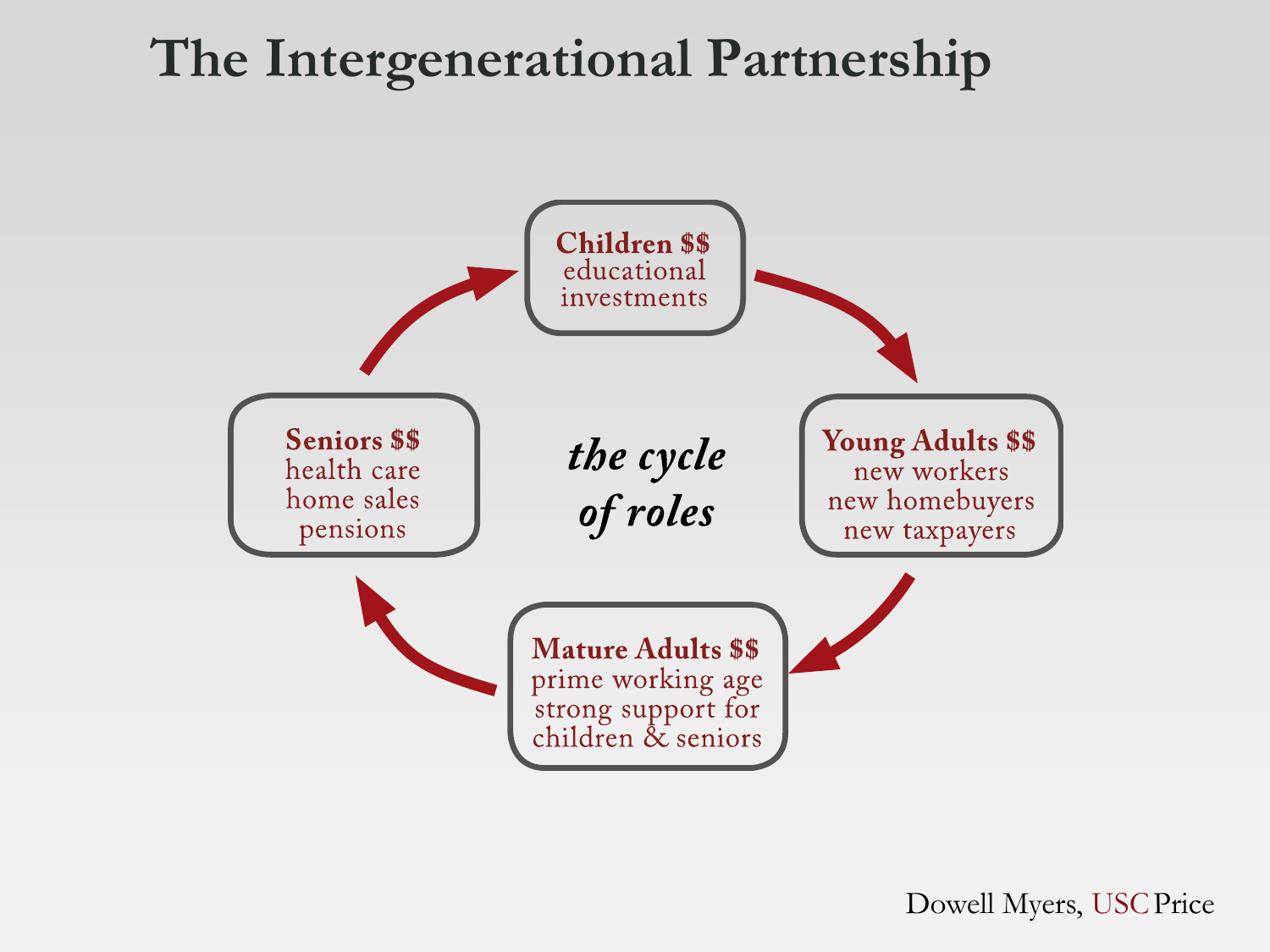#### **The Intergenerational Partnership**